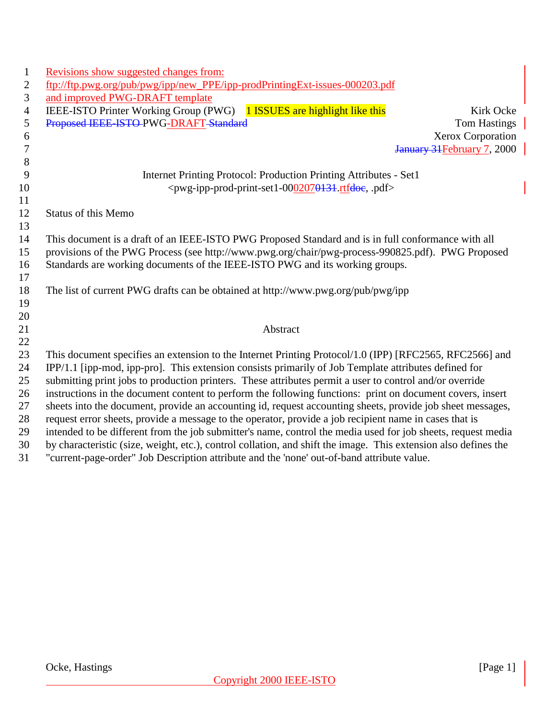| 1                | Revisions show suggested changes from:                                                                          |
|------------------|-----------------------------------------------------------------------------------------------------------------|
| $\overline{2}$   | ftp://ftp.pwg.org/pub/pwg/ipp/new_PPE/ipp-prodPrintingExt-issues-000203.pdf                                     |
| $\mathfrak{Z}$   | and improved PWG-DRAFT template                                                                                 |
| $\overline{4}$   | IEEE-ISTO Printer Working Group (PWG) 1 ISSUES are highlight like this<br>Kirk Ocke                             |
| 5                | Proposed IEEE ISTO PWG-DRAFT Standard<br><b>Tom Hastings</b>                                                    |
| 6                | Xerox Corporation                                                                                               |
| $\boldsymbol{7}$ | January 31 February 7, 2000                                                                                     |
| $8\,$            |                                                                                                                 |
| 9                | Internet Printing Protocol: Production Printing Attributes - Set1                                               |
| 10               | <pwg-ipp-prod-print-set1-0002070131 pdf="" rtfdoe,=""></pwg-ipp-prod-print-set1-0002070131>                     |
| 11               |                                                                                                                 |
| 12               | <b>Status of this Memo</b>                                                                                      |
| 13               |                                                                                                                 |
| 14               | This document is a draft of an IEEE-ISTO PWG Proposed Standard and is in full conformance with all              |
| 15               | provisions of the PWG Process (see http://www.pwg.org/chair/pwg-process-990825.pdf). PWG Proposed               |
| 16               | Standards are working documents of the IEEE-ISTO PWG and its working groups.                                    |
| 17               |                                                                                                                 |
| 18               | The list of current PWG drafts can be obtained at http://www.pwg.org/pub/pwg/ipp                                |
| 19               |                                                                                                                 |
| 20               |                                                                                                                 |
| 21<br>22         | Abstract                                                                                                        |
| 23               | This document specifies an extension to the Internet Printing Protocol/1.0 (IPP) [RFC2565, RFC2566] and         |
| 24               | IPP/1.1 [ipp-mod, ipp-pro]. This extension consists primarily of Job Template attributes defined for            |
| 25               | submitting print jobs to production printers. These attributes permit a user to control and/or override         |
| 26               | instructions in the document content to perform the following functions: print on document covers, insert       |
| 27               | sheets into the document, provide an accounting id, request accounting sheets, provide job sheet messages,      |
| 28               | request error sheets, provide a message to the operator, provide a job recipient name in cases that is          |
| 29               | intended to be different from the job submitter's name, control the media used for job sheets, request media    |
| 30               | by characteristic (size, weight, etc.), control collation, and shift the image. This extension also defines the |
| 31               | "current-page-order" Job Description attribute and the 'none' out-of-band attribute value.                      |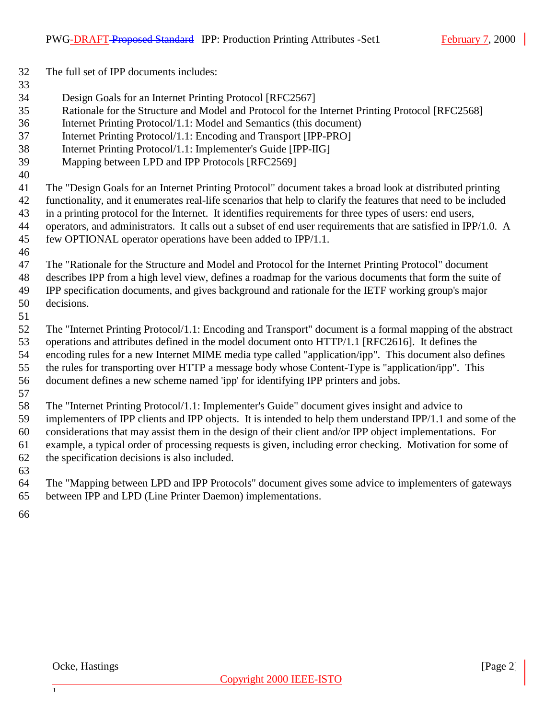The full set of IPP documents includes:

#### 

- Design Goals for an Internet Printing Protocol [RFC2567]
- Rationale for the Structure and Model and Protocol for the Internet Printing Protocol [RFC2568]
- Internet Printing Protocol/1.1: Model and Semantics (this document)
- Internet Printing Protocol/1.1: Encoding and Transport [IPP-PRO]
- Internet Printing Protocol/1.1: Implementer's Guide [IPP-IIG]
- Mapping between LPD and IPP Protocols [RFC2569]
- 

 The "Design Goals for an Internet Printing Protocol" document takes a broad look at distributed printing functionality, and it enumerates real-life scenarios that help to clarify the features that need to be included in a printing protocol for the Internet. It identifies requirements for three types of users: end users, operators, and administrators. It calls out a subset of end user requirements that are satisfied in IPP/1.0. A few OPTIONAL operator operations have been added to IPP/1.1.

- The "Rationale for the Structure and Model and Protocol for the Internet Printing Protocol" document describes IPP from a high level view, defines a roadmap for the various documents that form the suite of IPP specification documents, and gives background and rationale for the IETF working group's major decisions.
- 

 The "Internet Printing Protocol/1.1: Encoding and Transport" document is a formal mapping of the abstract operations and attributes defined in the model document onto HTTP/1.1 [RFC2616]. It defines the encoding rules for a new Internet MIME media type called "application/ipp". This document also defines the rules for transporting over HTTP a message body whose Content-Type is "application/ipp". This document defines a new scheme named 'ipp' for identifying IPP printers and jobs.

 The "Internet Printing Protocol/1.1: Implementer's Guide" document gives insight and advice to implementers of IPP clients and IPP objects. It is intended to help them understand IPP/1.1 and some of the considerations that may assist them in the design of their client and/or IPP object implementations. For example, a typical order of processing requests is given, including error checking. Motivation for some of the specification decisions is also included.

- 
- The "Mapping between LPD and IPP Protocols" document gives some advice to implementers of gateways between IPP and LPD (Line Printer Daemon) implementations.
- 

 $\overline{1}$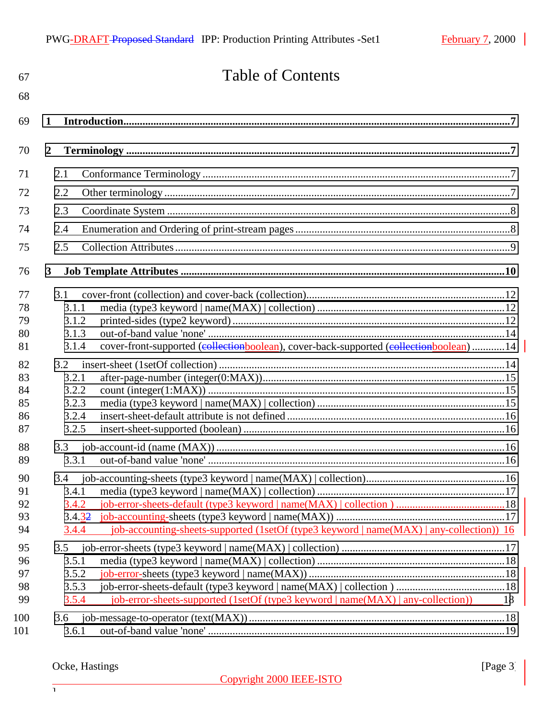| 67                               | <b>Table of Contents</b>                                                                                                           |    |
|----------------------------------|------------------------------------------------------------------------------------------------------------------------------------|----|
| 68                               |                                                                                                                                    |    |
| 69                               | 1                                                                                                                                  |    |
| 70                               | $\overline{2}$                                                                                                                     |    |
| 71                               | 2.1                                                                                                                                |    |
| 72                               | 2.2                                                                                                                                |    |
| 73                               | 2.3                                                                                                                                |    |
| 74                               | 2.4                                                                                                                                |    |
| 75                               | 2.5                                                                                                                                |    |
| 76                               | $\mathbf{3}$                                                                                                                       |    |
| 77<br>78<br>79<br>80<br>81       | 3.1<br>3.1.1<br>3.1.2<br>3.1.3<br>cover-front-supported (collectionboolean), cover-back-supported (collectionboolean)  14<br>3.1.4 |    |
| 82<br>83<br>84<br>85<br>86<br>87 | 3.2<br>3.2.1<br>3.2.2<br>3.2.3<br>3.2.4<br>3.2.5                                                                                   |    |
| 88<br>89                         | 3.3<br>3.3.1                                                                                                                       |    |
| 90<br>91<br>92<br>93<br>94       | 3.4.1<br>3.4.2<br>3.4.32<br>job-accounting-sheets-supported (1setOf (type3 keyword   name(MAX)   any-collection)) 16<br>3.4.4      |    |
| 95                               | 3.5                                                                                                                                |    |
| 96                               | 3.5.1                                                                                                                              |    |
| 97<br>98                         | 3.5.2<br>3.5.3                                                                                                                     |    |
| 99                               | job-error-sheets-supported (1setOf (type3 keyword   name(MAX)   any-collection))<br>3.5.4                                          | 18 |
| 100<br>101                       | 3.6<br>3.6.1                                                                                                                       |    |

## Ocke, Hastings [Page 3]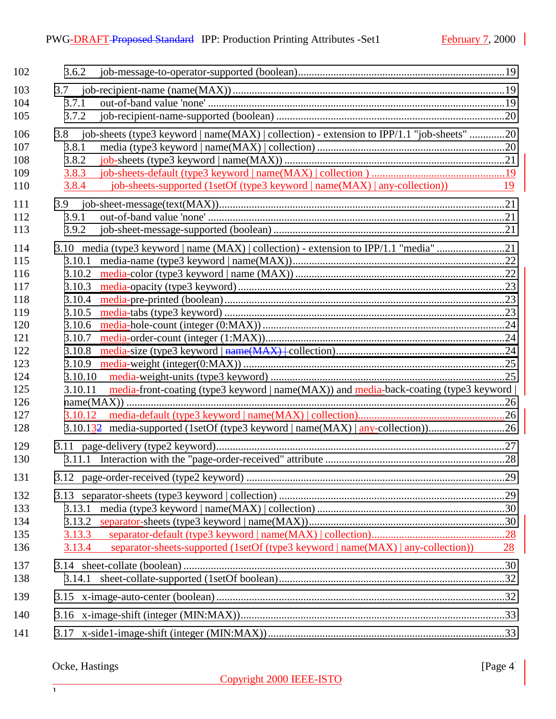| 102 | 3.6.2                                                                                                        |    |
|-----|--------------------------------------------------------------------------------------------------------------|----|
| 103 | 3.7                                                                                                          |    |
| 104 | 3.7.1                                                                                                        |    |
| 105 | 3.7.2                                                                                                        |    |
| 106 | 3.8 job-sheets (type3 keyword   name(MAX)   collection) - extension to IPP/1.1 "job-sheets" 20               |    |
| 107 | 3.8.1                                                                                                        |    |
| 108 | 3.8.2                                                                                                        |    |
| 109 | 3.8.3                                                                                                        |    |
| 110 | job-sheets-supported (1setOf (type3 keyword   name(MAX)   any-collection)) 19<br>3.8.4                       |    |
| 111 | 3.9                                                                                                          |    |
| 112 | 3.9.1                                                                                                        |    |
| 113 | 3.9.2                                                                                                        |    |
| 114 | 3.10 media (type3 keyword   name (MAX)   collection) - extension to IPP/1.1 "media" 21                       |    |
| 115 | 3.10.1                                                                                                       |    |
| 116 | 3.10.2                                                                                                       |    |
| 117 | 3.10.3                                                                                                       |    |
| 118 | 3.10.4                                                                                                       |    |
| 119 | 3.10.5                                                                                                       |    |
| 120 | 3.10.6                                                                                                       |    |
| 121 | 3.10.7                                                                                                       |    |
| 122 | 3.10.8                                                                                                       |    |
| 123 | 3.10.9                                                                                                       |    |
| 124 | 3.10.10                                                                                                      |    |
| 125 | $media$ -front-coating (type3 keyword   name $(MAX)$ ) and $media$ -back-coating (type3 keyword  <br>3.10.11 |    |
| 126 |                                                                                                              |    |
| 127 |                                                                                                              |    |
| 128 | 3.10.132 media-supported (1setOf (type3 keyword   name(MAX)   any-collection)26                              |    |
| 129 |                                                                                                              |    |
| 130 |                                                                                                              |    |
| 131 |                                                                                                              |    |
| 132 |                                                                                                              |    |
| 133 | 3.13.1                                                                                                       |    |
| 134 | 3.13.2                                                                                                       |    |
| 135 |                                                                                                              |    |
| 136 | separator-sheets-supported (1setOf (type3 keyword   name(MAX)   any-collection))<br>3.13.4                   | 28 |
| 137 |                                                                                                              |    |
| 138 |                                                                                                              |    |
| 139 |                                                                                                              |    |
| 140 |                                                                                                              |    |
| 141 |                                                                                                              |    |
|     |                                                                                                              |    |

## Ocke, Hastings [Page 4]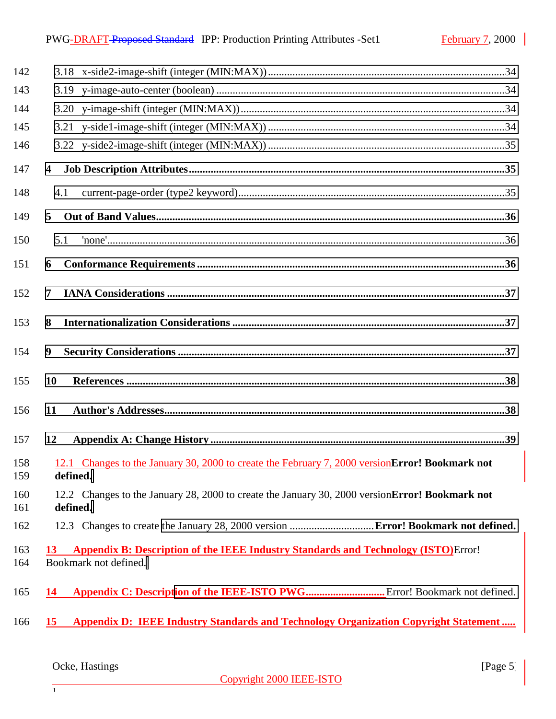| 142        |                                                                                                                                  |
|------------|----------------------------------------------------------------------------------------------------------------------------------|
| 143        |                                                                                                                                  |
| 144        |                                                                                                                                  |
| 145        |                                                                                                                                  |
| 146        |                                                                                                                                  |
| 147        | $\overline{\mathbf{4}}$                                                                                                          |
| 148        | 4.1                                                                                                                              |
| 149        | 5                                                                                                                                |
| 150        | 5.1                                                                                                                              |
| 151        | 6                                                                                                                                |
| 152        | 7                                                                                                                                |
| 153        | 8                                                                                                                                |
| 154        | 9                                                                                                                                |
| 155        | <b>10</b>                                                                                                                        |
| 156        | 11                                                                                                                               |
| 157        | 12                                                                                                                               |
| 158<br>159 | 12.1 Changes to the January 30, 2000 to create the February 7, 2000 version Error! Bookmark not<br>defined.                      |
| 160<br>161 | 12.2 Changes to the January 28, 2000 to create the January 30, 2000 version Error! Bookmark not<br>defined.                      |
| 162        |                                                                                                                                  |
| 163<br>164 | <b>Appendix B: Description of the IEEE Industry Standards and Technology (ISTO)</b> Error!<br><b>13</b><br>Bookmark not defined. |
| 165        | 14                                                                                                                               |
| 166        | <b>Appendix D: IEEE Industry Standards and Technology Organization Copyright Statement</b><br><b>15</b>                          |

 $\frac{1}{1}$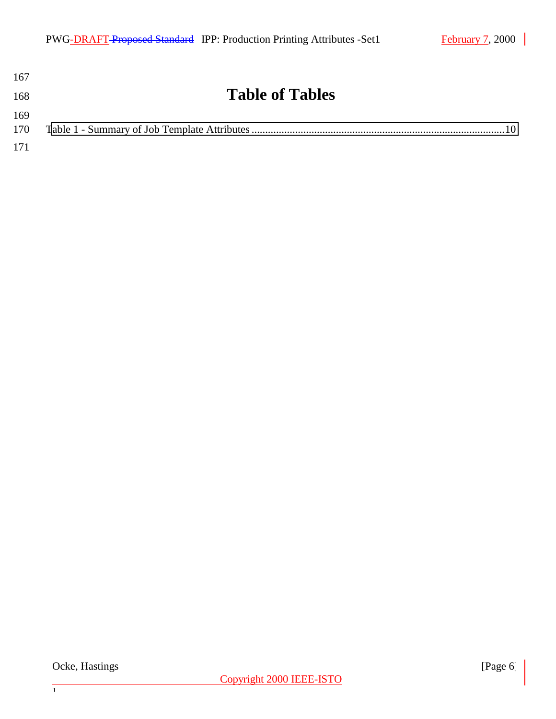| 167        |                        |
|------------|------------------------|
| 168        | <b>Table of Tables</b> |
| 169<br>170 |                        |
| 171        |                        |

 $\frac{1}{1}$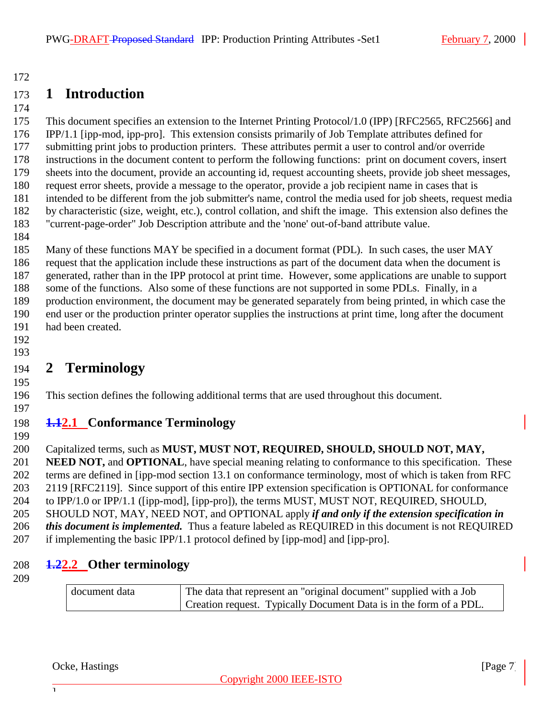# <span id="page-6-0"></span>**1 Introduction**

 This document specifies an extension to the Internet Printing Protocol/1.0 (IPP) [RFC2565, RFC2566] and IPP/1.1 [ipp-mod, ipp-pro]. This extension consists primarily of Job Template attributes defined for submitting print jobs to production printers. These attributes permit a user to control and/or override instructions in the document content to perform the following functions: print on document covers, insert sheets into the document, provide an accounting id, request accounting sheets, provide job sheet messages, request error sheets, provide a message to the operator, provide a job recipient name in cases that is intended to be different from the job submitter's name, control the media used for job sheets, request media by characteristic (size, weight, etc.), control collation, and shift the image. This extension also defines the "current-page-order" Job Description attribute and the 'none' out-of-band attribute value.

 Many of these functions MAY be specified in a document format (PDL). In such cases, the user MAY request that the application include these instructions as part of the document data when the document is generated, rather than in the IPP protocol at print time. However, some applications are unable to support some of the functions. Also some of these functions are not supported in some PDLs. Finally, in a production environment, the document may be generated separately from being printed, in which case the end user or the production printer operator supplies the instructions at print time, long after the document had been created.

 

# **2 Terminology**

This section defines the following additional terms that are used throughout this document.

# **1.12.1 Conformance Terminology**

Capitalized terms, such as **MUST, MUST NOT, REQUIRED, SHOULD, SHOULD NOT, MAY,**

 **NEED NOT,** and **OPTIONAL**, have special meaning relating to conformance to this specification. These terms are defined in [ipp-mod section 13.1 on conformance terminology, most of which is taken from RFC 2119 [RFC2119]. Since support of this entire IPP extension specification is OPTIONAL for conformance 204 to IPP/1.0 or IPP/1.1 ([ipp-mod], [ipp-pro]), the terms MUST, MUST NOT, REQUIRED, SHOULD, SHOULD NOT, MAY, NEED NOT, and OPTIONAL apply *if and only if the extension specification in this document is implemented.* Thus a feature labeled as REQUIRED in this document is not REQUIRED if implementing the basic IPP/1.1 protocol defined by [ipp-mod] and [ipp-pro].

**1.22.2 Other terminology**

| document data | The data that represent an "original document" supplied with a Job |
|---------------|--------------------------------------------------------------------|
|               | Creation request. Typically Document Data is in the form of a PDL. |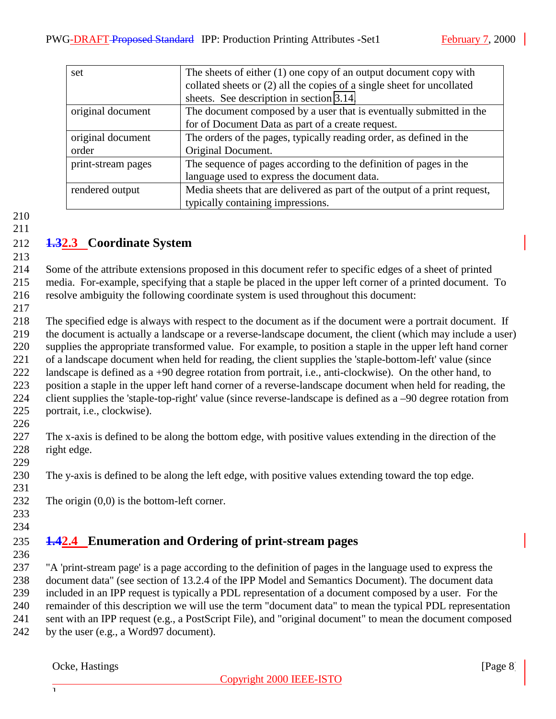<span id="page-7-0"></span>

| set                | The sheets of either $(1)$ one copy of an output document copy with       |
|--------------------|---------------------------------------------------------------------------|
|                    | collated sheets or (2) all the copies of a single sheet for uncollated    |
|                    | sheets. See description in section 3.14.                                  |
| original document  | The document composed by a user that is eventually submitted in the       |
|                    | for of Document Data as part of a create request.                         |
| original document  | The orders of the pages, typically reading order, as defined in the       |
| order              | Original Document.                                                        |
| print-stream pages | The sequence of pages according to the definition of pages in the         |
|                    | language used to express the document data.                               |
| rendered output    | Media sheets that are delivered as part of the output of a print request, |
|                    | typically containing impressions.                                         |

# **1.32.3 Coordinate System**

 Some of the attribute extensions proposed in this document refer to specific edges of a sheet of printed media. For-example, specifying that a staple be placed in the upper left corner of a printed document. To resolve ambiguity the following coordinate system is used throughout this document:

 The specified edge is always with respect to the document as if the document were a portrait document. If the document is actually a landscape or a reverse-landscape document, the client (which may include a user) supplies the appropriate transformed value. For example, to position a staple in the upper left hand corner of a landscape document when held for reading, the client supplies the 'staple-bottom-left' value (since landscape is defined as a +90 degree rotation from portrait, i.e., anti-clockwise). On the other hand, to position a staple in the upper left hand corner of a reverse-landscape document when held for reading, the client supplies the 'staple-top-right' value (since reverse-landscape is defined as a –90 degree rotation from portrait, i.e., clockwise). 

 The x-axis is defined to be along the bottom edge, with positive values extending in the direction of the right edge. 

The y-axis is defined to be along the left edge, with positive values extending toward the top edge.

- 232 The origin  $(0,0)$  is the bottom-left corner.
- 

# **1.42.4 Enumeration and Ordering of print-stream pages**

 "A 'print-stream page' is a page according to the definition of pages in the language used to express the document data" (see section of 13.2.4 of the IPP Model and Semantics Document). The document data included in an IPP request is typically a PDL representation of a document composed by a user. For the remainder of this description we will use the term "document data" to mean the typical PDL representation sent with an IPP request (e.g., a PostScript File), and "original document" to mean the document composed 242 by the user (e.g., a Word97 document).

Ocke, Hastings [Page 8] [Page 8]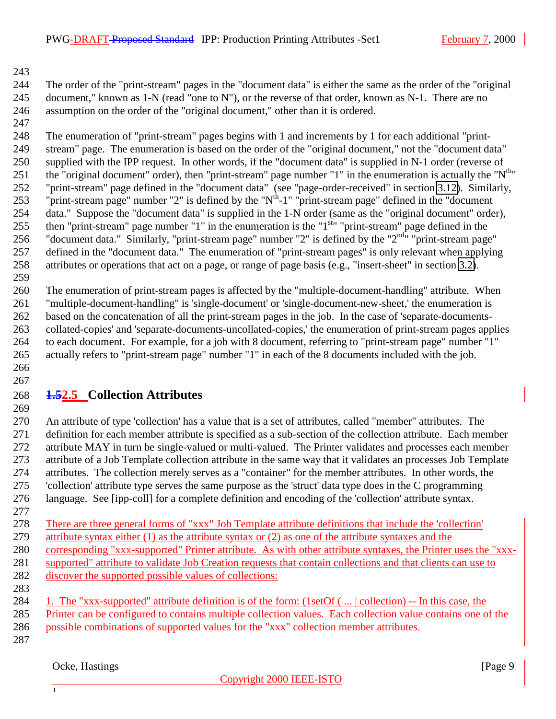<span id="page-8-0"></span> The order of the "print-stream" pages in the "document data" is either the same as the order of the "original 245 document," known as 1-N (read "one to N"), or the reverse of that order, known as N-1. There are no assumption on the order of the "original document," other than it is ordered.

 The enumeration of "print-stream" pages begins with 1 and increments by 1 for each additional "print- stream" page. The enumeration is based on the order of the "original document," not the "document data" supplied with the IPP request. In other words, if the "document data" is supplied in N-1 order (reverse of 251 the "original document" order), then "print-stream" page number "1" in the enumeration is actually the " $N^{th}$ " "print-stream" page defined in the "document data" (see "page-order-received" in section [3.12\)](#page-28-0). Similarly, 253 "print-stream page" number "2" is defined by the " $N<sup>th</sup>$ -1" "print-stream page" defined in the "document" data." Suppose the "document data" is supplied in the 1-N order (same as the "original document" order), 255 then "print-stream" page number "1" in the enumeration is the " $1<sup>st</sup>$ " "print-stream" page defined in the 256 "document data." Similarly, "print-stream page" number "2" is defined by the " $2<sup>nd</sup>$ " "print-stream page" defined in the "document data." The enumeration of "print-stream pages" is only relevant when applying attributes or operations that act on a page, or range of page basis (e.g., "insert-sheet" in section [3.2\)](#page-13-0).

 The enumeration of print-stream pages is affected by the "multiple-document-handling" attribute. When "multiple-document-handling" is 'single-document' or 'single-document-new-sheet,' the enumeration is based on the concatenation of all the print-stream pages in the job. In the case of 'separate-documents- collated-copies' and 'separate-documents-uncollated-copies,' the enumeration of print-stream pages applies to each document. For example, for a job with 8 document, referring to "print-stream page" number "1" actually refers to "print-stream page" number "1" in each of the 8 documents included with the job. 

# **1.52.5 Collection Attributes**

 An attribute of type 'collection' has a value that is a set of attributes, called "member" attributes. The definition for each member attribute is specified as a sub-section of the collection attribute. Each member attribute MAY in turn be single-valued or multi-valued. The Printer validates and processes each member attribute of a Job Template collection attribute in the same way that it validates an processes Job Template attributes. The collection merely serves as a "container" for the member attributes. In other words, the 'collection' attribute type serves the same purpose as the 'struct' data type does in the C programming language. See [ipp-coll] for a complete definition and encoding of the 'collection' attribute syntax.

 There are three general forms of "xxx" Job Template attribute definitions that include the 'collection' 279 attribute syntax either (1) as the attribute syntax or (2) as one of the attribute syntaxes and the corresponding "xxx-supported" Printer attribute. As with other attribute syntaxes, the Printer uses the "xxx-supported" attribute to validate Job Creation requests that contain collections and that clients can use to

- discover the supported possible values of collections:
- 1. The "xxx-supported" attribute definition is of the form: (1setOf ( ... | collection) -- In this case, the Printer can be configured to contains multiple collection values. Each collection value contains one of the possible combinations of supported values for the "xxx" collection member attributes.
- 

#### Ocke, Hastings [Page 9] [Page 9]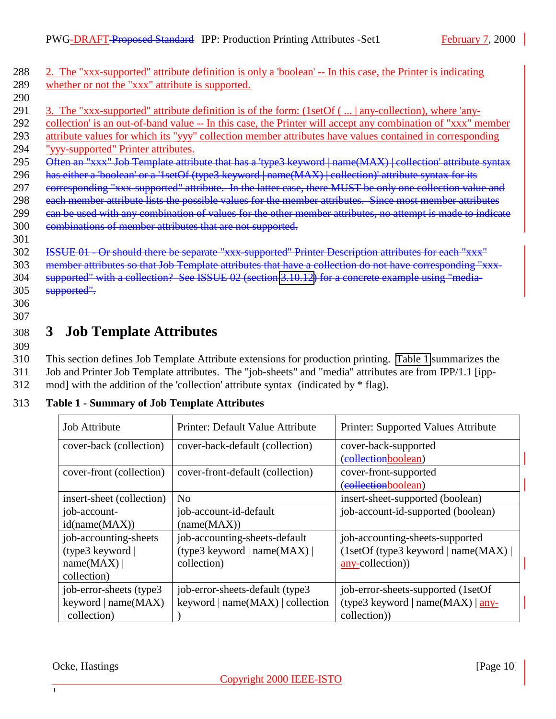<span id="page-9-0"></span>288 2. The "xxx-supported" attribute definition is only a 'boolean' -- In this case, the Printer is indicating 289 whether or not the "xxx" attribute is supported. 290

- 291 3. The "xxx-supported" attribute definition is of the form: (1setOf ( ... | any-collection), where 'any-
- 292 collection' is an out-of-band value -- In this case, the Printer will accept any combination of "xxx" member
- 293 attribute values for which its "yyy" collection member attributes have values contained in corresponding
- 294 "yyy-supported" Printer attributes.
- 295 Often an "xxx" Job Template attribute that has a 'type3 keyword | name(MAX) | collection' attribute syntax
- 296 has either a 'boolean' or a '1setOf (type3 keyword | name(MAX) | collection)' attribute syntax for its
- 297 eorresponding "xxx-supported" attribute. In the latter case, there MUST be only one collection value and
- 298 each member attribute lists the possible values for the member attributes. Since most member attributes
- 299 can be used with any combination of values for the other member attributes, no attempt is made to indicate
- 300 combinations of member attributes that are not supported.
- 301
- 302 ISSUE 01 Or should there be separate "xxx-supported" Printer Description attributes for each "xxx" 303 member attributes so that Job Template attributes that have a collection do not have corresponding "xxx-304 supported" with a collection? See ISSUE 02 (section [3.10.12\)](#page-25-0) for a concrete example using "media-
- 305 supported".
- 306 307

# 308 **3 Job Template Attributes**

309

310 This section defines Job Template Attribute extensions for production printing. Table 1 summarizes the 311 Job and Printer Job Template attributes. The "job-sheets" and "media" attributes are from IPP/1.1 [ipp-

312 mod] with the addition of the 'collection' attribute syntax (indicated by \* flag).

| <b>Job Attribute</b>      | Printer: Default Value Attribute                        | Printer: Supported Values Attribute |
|---------------------------|---------------------------------------------------------|-------------------------------------|
| cover-back (collection)   | cover-back-default (collection)<br>cover-back-supported |                                     |
|                           |                                                         | (collectionboolean)                 |
| cover-front (collection)  | cover-front-default (collection)                        | cover-front-supported               |
|                           |                                                         | (collectionboolean)                 |
| insert-sheet (collection) | N <sub>0</sub>                                          | insert-sheet-supported (boolean)    |
| job-account-              | job-account-id-default                                  | job-account-id-supported (boolean)  |
| id(name(MAX))             | (name(MAX))                                             |                                     |
| job-accounting-sheets     | job-accounting-sheets-default                           | job-accounting-sheets-supported     |
| (type3 keyword)           | (type3 keyword   name $(MAX)$                           | (1setOf(type3 keyword   name(MAX))  |
| name(MAX)                 | collection)                                             | any-collection)                     |
| collection)               |                                                         |                                     |
| job-error-sheets (type3)  | job-error-sheets-default (type3                         | job-error-sheets-supported (1setOf  |
| keyword   name $(MAX)$    | keyword $ name(MAX) $ collection                        | (type3 keyword   name(MAX)   any-   |
| collection)               |                                                         | collection)                         |

## 313 **Table 1 - Summary of Job Template Attributes**

Ocke, Hastings [Page 10] **Page 10 Page 10**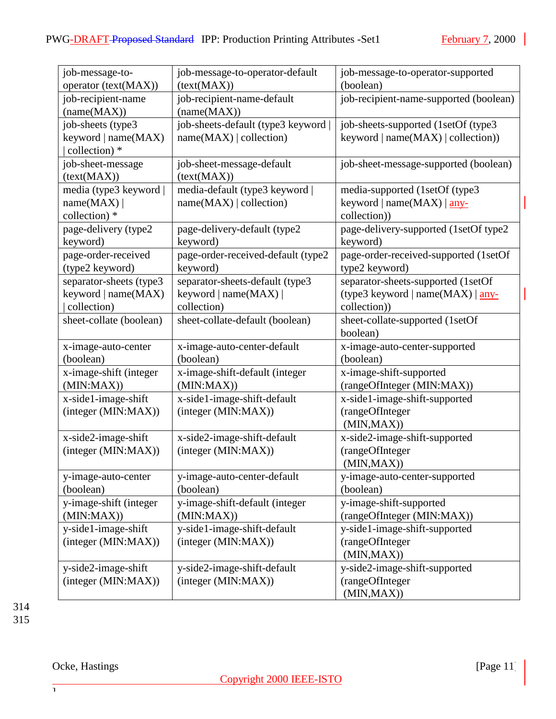| job-message-to-         | job-message-to-operator-default    | job-message-to-operator-supported      |
|-------------------------|------------------------------------|----------------------------------------|
| operator (text(MAX))    | (text(MAX))                        | (boolean)                              |
| job-recipient-name      | job-recipient-name-default         | job-recipient-name-supported (boolean) |
| (name(MAX))             | (name(MAX))                        |                                        |
| job-sheets (type3)      | job-sheets-default (type3 keyword  | job-sheets-supported (1setOf (type3    |
| keyword   name(MAX)     | name(MAX)   collection)            | keyword $ name(MAX) $ collection))     |
| collection) *           |                                    |                                        |
| job-sheet-message       | job-sheet-message-default          | job-sheet-message-supported (boolean)  |
| (text(MAX))             | (text(MAX))                        |                                        |
| media (type3 keyword    | media-default (type3 keyword       | media-supported (1setOf (type3         |
| name(MAX)               | name(MAX)   collection)            | keyword   name $(MAX)$   any-          |
| collection) *           |                                    | collection))                           |
| page-delivery (type2    | page-delivery-default (type2       | page-delivery-supported (1setOf type2  |
| keyword)                | keyword)                           | keyword)                               |
| page-order-received     | page-order-received-default (type2 | page-order-received-supported (1setOf  |
| (type2 keyword)         | keyword)                           | type2 keyword)                         |
| separator-sheets (type3 | separator-sheets-default (type3    | separator-sheets-supported (1setOf     |
| keyword   name(MAX)     | keyword   name $(MAX)$             | (type3 keyword   name(MAX)   any-      |
| collection)             | collection)                        | collection))                           |
| sheet-collate (boolean) | sheet-collate-default (boolean)    | sheet-collate-supported (1setOf        |
|                         |                                    | boolean)                               |
| x-image-auto-center     | x-image-auto-center-default        | x-image-auto-center-supported          |
| (boolean)               | (boolean)                          | (boolean)                              |
| x-image-shift (integer  | x-image-shift-default (integer     | x-image-shift-supported                |
| (MIN:MAX)               | (MIN:MAX)                          | (rangeOfInteger (MIN:MAX))             |
| x-side1-image-shift     | x-side1-image-shift-default        | x-side1-image-shift-supported          |
| (integer (MIN:MAX))     | (integer (MIN:MAX))                | (rangeOfInteger                        |
|                         |                                    | (MIN, MAX))                            |
| x-side2-image-shift     | x-side2-image-shift-default        | x-side2-image-shift-supported          |
| (integer (MIN:MAX))     | (integer (MIN:MAX))                | (rangeOfInteger                        |
|                         |                                    | (MIN, MAX))                            |
| y-image-auto-center     | y-image-auto-center-default        | y-image-auto-center-supported          |
| (boolean)               | (boolean)                          | (boolean)                              |
| y-image-shift (integer  | y-image-shift-default (integer     | y-image-shift-supported                |
| (MIN:MAX))              | (MIN:MAX))                         | (rangeOfInteger (MIN:MAX))             |
| y-side1-image-shift     | y-side1-image-shift-default        | y-side1-image-shift-supported          |
| (integer (MIN:MAX))     | (integer (MIN:MAX))                | (rangeOfInteger                        |
|                         |                                    | (MIN, MAX))                            |
| y-side2-image-shift     | y-side2-image-shift-default        | y-side2-image-shift-supported          |
| (integer (MIN:MAX))     | (integer (MIN:MAX))                | (rangeOfInteger                        |
|                         |                                    | (MIN, MAX))                            |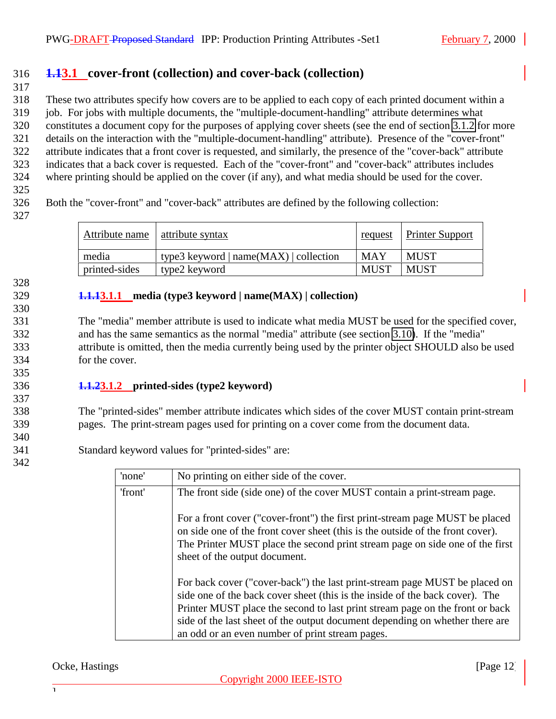## <span id="page-11-0"></span>316 **1.13.1 cover-front (collection) and cover-back (collection)**

317

 These two attributes specify how covers are to be applied to each copy of each printed document within a job. For jobs with multiple documents, the "multiple-document-handling" attribute determines what constitutes a document copy for the purposes of applying cover sheets (see the end of section 3.1.2 for more details on the interaction with the "multiple-document-handling" attribute). Presence of the "cover-front" attribute indicates that a front cover is requested, and similarly, the presence of the "cover-back" attribute indicates that a back cover is requested. Each of the "cover-front" and "cover-back" attributes includes where printing should be applied on the cover (if any), and what media should be used for the cover.

325

326 Both the "cover-front" and "cover-back" attributes are defined by the following collection:

327

| Attribute name | attribute syntax                         | request     | <b>Printer Support</b> |
|----------------|------------------------------------------|-------------|------------------------|
| media          | type3 keyword   $name(MAX)$   collection | <b>MAY</b>  | MUST                   |
| printed-sides  | type2 keyword                            | <b>MUST</b> | <b>MUST</b>            |

#### 328

330

335

337

340

342

#### 329 **1.1.13.1.1 media (type3 keyword | name(MAX) | collection)**

 The "media" member attribute is used to indicate what media MUST be used for the specified cover, and has the same semantics as the normal "media" attribute (see section [3.10\)](#page-20-0). If the "media" attribute is omitted, then the media currently being used by the printer object SHOULD also be used for the cover.

#### 336 **1.1.23.1.2 printed-sides (type2 keyword)**

338 The "printed-sides" member attribute indicates which sides of the cover MUST contain print-stream 339 pages. The print-stream pages used for printing on a cover come from the document data.

341 Standard keyword values for "printed-sides" are:

| 'none'  | No printing on either side of the cover.                                                                                                                                                                                                                                                                                                                                      |  |
|---------|-------------------------------------------------------------------------------------------------------------------------------------------------------------------------------------------------------------------------------------------------------------------------------------------------------------------------------------------------------------------------------|--|
| 'front' | The front side (side one) of the cover MUST contain a print-stream page.                                                                                                                                                                                                                                                                                                      |  |
|         | For a front cover ("cover-front") the first print-stream page MUST be placed<br>on side one of the front cover sheet (this is the outside of the front cover).<br>The Printer MUST place the second print stream page on side one of the first<br>sheet of the output document.                                                                                               |  |
|         | For back cover ("cover-back") the last print-stream page MUST be placed on<br>side one of the back cover sheet (this is the inside of the back cover). The<br>Printer MUST place the second to last print stream page on the front or back<br>side of the last sheet of the output document depending on whether there are<br>an odd or an even number of print stream pages. |  |

#### Ocke, Hastings [Page 12] **Page 12**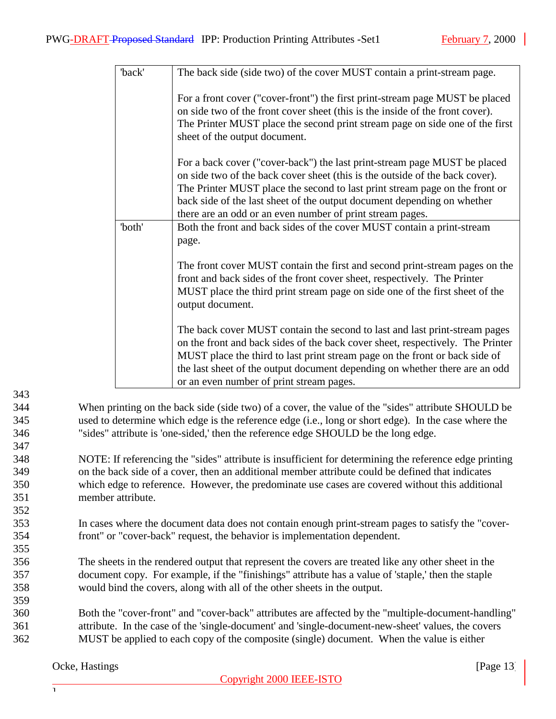| The back side (side two) of the cover MUST contain a print-stream page.                                                                                                                                                                                                                                                                                                          |
|----------------------------------------------------------------------------------------------------------------------------------------------------------------------------------------------------------------------------------------------------------------------------------------------------------------------------------------------------------------------------------|
| For a front cover ("cover-front") the first print-stream page MUST be placed<br>on side two of the front cover sheet (this is the inside of the front cover).<br>The Printer MUST place the second print stream page on side one of the first<br>sheet of the output document.                                                                                                   |
| For a back cover ("cover-back") the last print-stream page MUST be placed<br>on side two of the back cover sheet (this is the outside of the back cover).<br>The Printer MUST place the second to last print stream page on the front or<br>back side of the last sheet of the output document depending on whether<br>there are an odd or an even number of print stream pages. |
| Both the front and back sides of the cover MUST contain a print-stream                                                                                                                                                                                                                                                                                                           |
| page.                                                                                                                                                                                                                                                                                                                                                                            |
| The front cover MUST contain the first and second print-stream pages on the<br>front and back sides of the front cover sheet, respectively. The Printer<br>MUST place the third print stream page on side one of the first sheet of the<br>output document.                                                                                                                      |
| The back cover MUST contain the second to last and last print-stream pages<br>on the front and back sides of the back cover sheet, respectively. The Printer<br>MUST place the third to last print stream page on the front or back side of<br>the last sheet of the output document depending on whether there are an odd<br>or an even number of print stream pages.           |
|                                                                                                                                                                                                                                                                                                                                                                                  |

344 When printing on the back side (side two) of a cover, the value of the "sides" attribute SHOULD be 345 used to determine which edge is the reference edge (i.e., long or short edge). In the case where the 346 "sides" attribute is 'one-sided,' then the reference edge SHOULD be the long edge.

- 348 NOTE: If referencing the "sides" attribute is insufficient for determining the reference edge printing 349 on the back side of a cover, then an additional member attribute could be defined that indicates 350 which edge to reference. However, the predominate use cases are covered without this additional 351 member attribute.
- 353 In cases where the document data does not contain enough print-stream pages to satisfy the "cover-354 front" or "cover-back" request, the behavior is implementation dependent.
- 356 The sheets in the rendered output that represent the covers are treated like any other sheet in the 357 document copy. For example, if the "finishings" attribute has a value of 'staple,' then the staple 358 would bind the covers, along with all of the other sheets in the output.
- 360 Both the "cover-front" and "cover-back" attributes are affected by the "multiple-document-handling" 361 attribute. In the case of the 'single-document' and 'single-document-new-sheet' values, the covers 362 MUST be applied to each copy of the composite (single) document. When the value is either

343

347

352

355

359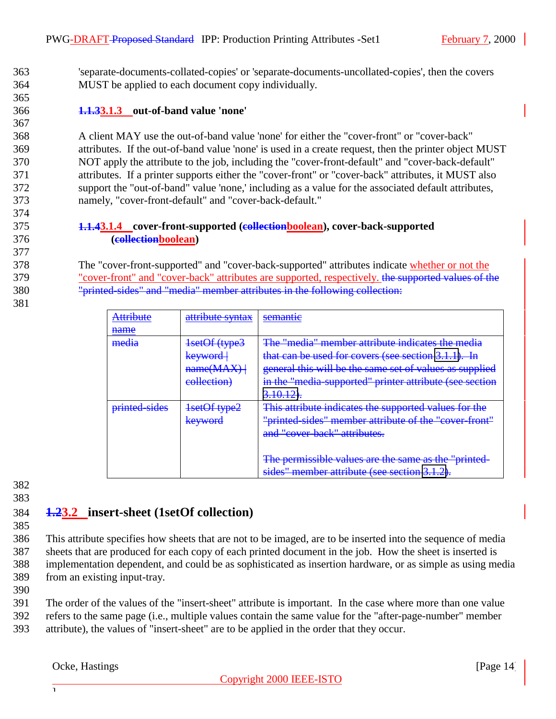<span id="page-13-0"></span>363 'separate-documents-collated-copies' or 'separate-documents-uncollated-copies', then the covers 364 MUST be applied to each document copy individually.

#### 366 **1.1.33.1.3 out-of-band value 'none'**

 A client MAY use the out-of-band value 'none' for either the "cover-front" or "cover-back" attributes. If the out-of-band value 'none' is used in a create request, then the printer object MUST NOT apply the attribute to the job, including the "cover-front-default" and "cover-back-default" attributes. If a printer supports either the "cover-front" or "cover-back" attributes, it MUST also support the "out-of-band" value 'none,' including as a value for the associated default attributes, namely, "cover-front-default" and "cover-back-default."

#### 375 **1.1.43.1.4 cover-front-supported (collectionboolean), cover-back-supported** 376 **(collectionboolean)**

378 The "cover-front-supported" and "cover-back-supported" attributes indicate whether or not the 379 "cover-front" and "cover-back" attributes are supported, respectively. the supported values of the 380 "printed-sides" and "media" member attributes in the following collection:

| <b>Attribute</b> | attribute syntax | semantie                                                |
|------------------|------------------|---------------------------------------------------------|
| name             |                  |                                                         |
| media            | 1setOf (type3    | The "media" member attribute indicates the media        |
|                  | keyword          | that can be used for covers (see section 3.1.1). In     |
|                  | name(MAX)        | general this will be the same set of values as supplied |
|                  | eollection)      | in the "media-supported" printer attribute (see section |
|                  |                  | $3.10.12$ .                                             |
| printed-sides    | 1setOf type2     | This attribute indicates the supported values for the   |
|                  | keyword          | "printed sides" member attribute of the "cover-front"   |
|                  |                  | and "cover-back" attributes.                            |
|                  |                  |                                                         |
|                  |                  | The permissible values are the same as the "printed-    |
|                  |                  | sides" member attribute (see section 3.1.2).            |

382 383

365

367

374

377

381

## 384 **1.23.2 insert-sheet (1setOf collection)**

385

 This attribute specifies how sheets that are not to be imaged, are to be inserted into the sequence of media sheets that are produced for each copy of each printed document in the job. How the sheet is inserted is implementation dependent, and could be as sophisticated as insertion hardware, or as simple as using media from an existing input-tray.

390

391 The order of the values of the "insert-sheet" attribute is important. In the case where more than one value 392 refers to the same page (i.e., multiple values contain the same value for the "after-page-number" member 393 attribute), the values of "insert-sheet" are to be applied in the order that they occur.

#### Ocke, Hastings [Page 14]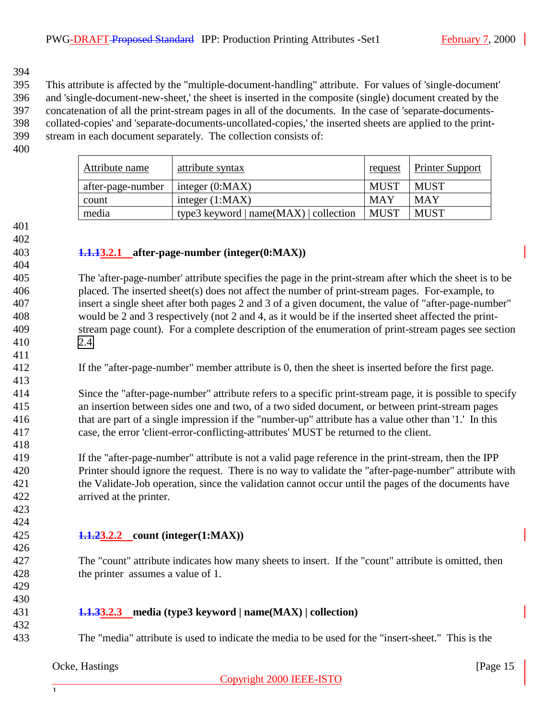<span id="page-14-0"></span> This attribute is affected by the "multiple-document-handling" attribute. For values of 'single-document' and 'single-document-new-sheet,' the sheet is inserted in the composite (single) document created by the concatenation of all the print-stream pages in all of the documents. In the case of 'separate-documents- collated-copies' and 'separate-documents-uncollated-copies,' the inserted sheets are applied to the print-stream in each document separately. The collection consists of:

| Attribute name    | attribute syntax                       | request     | <b>Printer Support</b> |
|-------------------|----------------------------------------|-------------|------------------------|
| after-page-number | integer $(0:MAX)$                      | <b>MUST</b> | <b>MUST</b>            |
| count             | integer $(1:MAX)$                      | <b>MAY</b>  | <b>MAY</b>             |
| media             | type3 keyword $ name(MAX) $ collection | <b>MUST</b> | <b>MUST</b>            |

 

#### **1.1.13.2.1 after-page-number (integer(0:MAX))**

 The 'after-page-number' attribute specifies the page in the print-stream after which the sheet is to be placed. The inserted sheet(s) does not affect the number of print-stream pages. For-example, to insert a single sheet after both pages 2 and 3 of a given document, the value of "after-page-number" would be 2 and 3 respectively (not 2 and 4, as it would be if the inserted sheet affected the print- stream page count). For a complete description of the enumeration of print-stream pages see section [2.4.](#page-7-0)

If the "after-page-number" member attribute is 0, then the sheet is inserted before the first page.

 Since the "after-page-number" attribute refers to a specific print-stream page, it is possible to specify an insertion between sides one and two, of a two sided document, or between print-stream pages that are part of a single impression if the "number-up" attribute has a value other than '1.' In this case, the error 'client-error-conflicting-attributes' MUST be returned to the client.

 If the "after-page-number" attribute is not a valid page reference in the print-stream, then the IPP Printer should ignore the request. There is no way to validate the "after-page-number" attribute with the Validate-Job operation, since the validation cannot occur until the pages of the documents have arrived at the printer.

 

#### **1.1.23.2.2 count (integer(1:MAX))**

 The "count" attribute indicates how many sheets to insert. If the "count" attribute is omitted, then the printer assumes a value of 1.

#### **1.1.33.2.3 media (type3 keyword | name(MAX) | collection)**

The "media" attribute is used to indicate the media to be used for the "insert-sheet." This is the

#### Ocke, Hastings [Page 15] [Page 15] [Page 15] [Page 15] [Page 15] [Page 15] [Page 15] [Page 15] [Page 15] [Page 15] [Page 15] [Page 15] [Page 15] [Page 15] [Page 15] [Page 15] [Page 15] [Page 16] [Page 16] [Page 16] [Page 1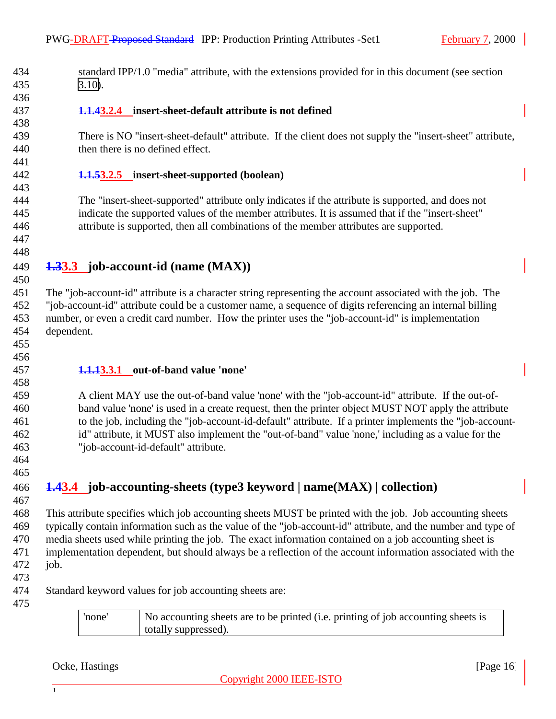<span id="page-15-0"></span> standard IPP/1.0 "media" attribute, with the extensions provided for in this document (see section [3.10\)](#page-20-0).

 

- **1.1.43.2.4 insert-sheet-default attribute is not defined**
- There is NO "insert-sheet-default" attribute. If the client does not supply the "insert-sheet" attribute, then there is no defined effect.
- **1.1.53.2.5 insert-sheet-supported (boolean)**

 The "insert-sheet-supported" attribute only indicates if the attribute is supported, and does not indicate the supported values of the member attributes. It is assumed that if the "insert-sheet" attribute is supported, then all combinations of the member attributes are supported.

- **1.33.3 job-account-id (name (MAX))**
- The "job-account-id" attribute is a character string representing the account associated with the job. The "job-account-id" attribute could be a customer name, a sequence of digits referencing an internal billing number, or even a credit card number. How the printer uses the "job-account-id" is implementation dependent.
- 
- **1.1.13.3.1 out-of-band value 'none'**

 A client MAY use the out-of-band value 'none' with the "job-account-id" attribute. If the out-of- band value 'none' is used in a create request, then the printer object MUST NOT apply the attribute to the job, including the "job-account-id-default" attribute. If a printer implements the "job-account- id" attribute, it MUST also implement the "out-of-band" value 'none,' including as a value for the "job-account-id-default" attribute.

 

**1.43.4 job-accounting-sheets (type3 keyword | name(MAX) | collection)**

 This attribute specifies which job accounting sheets MUST be printed with the job. Job accounting sheets typically contain information such as the value of the "job-account-id" attribute, and the number and type of media sheets used while printing the job. The exact information contained on a job accounting sheet is implementation dependent, but should always be a reflection of the account information associated with the job.

- 
- Standard keyword values for job accounting sheets are:
- 

'none' No accounting sheets are to be printed (i.e. printing of job accounting sheets is totally suppressed).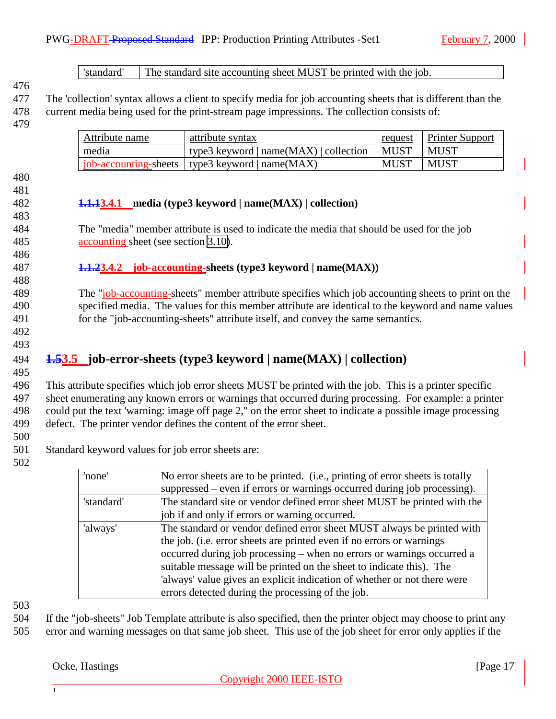<span id="page-16-0"></span>

|                                                                                                            |                  | current media being used for the print-stream page impressions. The collection consists of:                                |             |                                                                               |
|------------------------------------------------------------------------------------------------------------|------------------|----------------------------------------------------------------------------------------------------------------------------|-------------|-------------------------------------------------------------------------------|
| Attribute name                                                                                             | attribute syntax |                                                                                                                            | request     | <b>Printer Support</b>                                                        |
| media                                                                                                      |                  | type3 keyword $ name(MAX) $ collection                                                                                     | <b>MUST</b> | <b>MUST</b>                                                                   |
| job-accounting-sheets                                                                                      |                  | type3 keyword   name $(MAX)$                                                                                               | <b>MUST</b> | <b>MUST</b>                                                                   |
|                                                                                                            |                  | $1.1.13.4.1$ media (type3 keyword   name(MAX)   collection)                                                                |             |                                                                               |
|                                                                                                            |                  | The "media" member attribute is used to indicate the media that should be used for the job                                 |             |                                                                               |
| accounting sheet (see section 3.10).                                                                       |                  |                                                                                                                            |             |                                                                               |
|                                                                                                            |                  |                                                                                                                            |             |                                                                               |
|                                                                                                            |                  | <b>1.1.23.4.2</b> job-accounting-sheets (type3 keyword   name(MAX))                                                        |             |                                                                               |
| <b>1.53.5</b> job-error-sheets (type3 keyword   name(MAX)   collection)                                    |                  | for the "job-accounting-sheets" attribute itself, and convey the same semantics.                                           |             |                                                                               |
| This attribute specifies which job error sheets MUST be printed with the job. This is a printer specific   |                  |                                                                                                                            |             |                                                                               |
| sheet enumerating any known errors or warnings that occurred during processing. For example: a printer     |                  |                                                                                                                            |             |                                                                               |
| could put the text 'warning: image off page 2," on the error sheet to indicate a possible image processing |                  |                                                                                                                            |             |                                                                               |
| defect. The printer vendor defines the content of the error sheet.                                         |                  |                                                                                                                            |             |                                                                               |
|                                                                                                            |                  |                                                                                                                            |             |                                                                               |
| Standard keyword values for job error sheets are:                                                          |                  |                                                                                                                            |             |                                                                               |
|                                                                                                            |                  |                                                                                                                            |             | No error sheets are to be printed. (i.e., printing of error sheets is totally |
|                                                                                                            |                  |                                                                                                                            |             |                                                                               |
| 'none'                                                                                                     |                  |                                                                                                                            |             |                                                                               |
| 'standard'                                                                                                 |                  | suppressed – even if errors or warnings occurred during job processing).                                                   |             |                                                                               |
|                                                                                                            |                  | The standard site or vendor defined error sheet MUST be printed with the<br>job if and only if errors or warning occurred. |             |                                                                               |
| 'always'                                                                                                   |                  | The standard or vendor defined error sheet MUST always be printed with                                                     |             |                                                                               |

occurred during job processing – when no errors or warnings occurred a suitable message will be printed on the sheet to indicate this). The 'always' value gives an explicit indication of whether or not there were errors detected during the processing of the job.

503

504 If the "job-sheets" Job Template attribute is also specified, then the printer object may choose to print any 505 error and warning messages on that same job sheet. This use of the job sheet for error only applies if the

#### Ocke, Hastings [Page 17]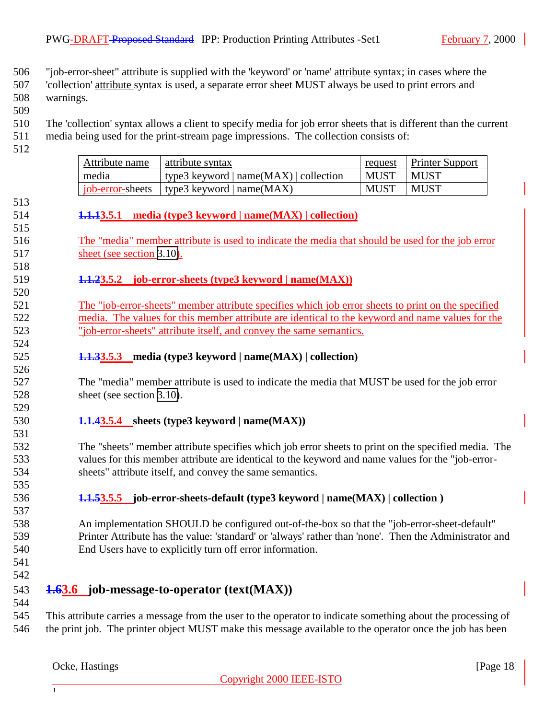<span id="page-17-0"></span>"job-error-sheet" attribute is supplied with the 'keyword' or 'name' attribute syntax; in cases where the

 'collection' attribute syntax is used, a separate error sheet MUST always be used to print errors and warnings.

 The 'collection' syntax allows a client to specify media for job error sheets that is different than the current media being used for the print-stream page impressions. The collection consists of:

| Attribute name | attribute syntax                             |             | request   Printer Support |
|----------------|----------------------------------------------|-------------|---------------------------|
| media          | type3 keyword $ name(MAX) $ collection       | <b>MUST</b> | <b>MUST</b>               |
|                | job-error-sheets   type3 keyword   name(MAX) | <b>MUST</b> | <b>MUST</b>               |

#### **1.1.13.5.1 media (type3 keyword | name(MAX) | collection)**

 The "media" member attribute is used to indicate the media that should be used for the job error 517 sheet (see section [3.10\)](#page-20-0).

#### **1.1.23.5.2 job-error-sheets (type3 keyword | name(MAX))**

 The "job-error-sheets" member attribute specifies which job error sheets to print on the specified media. The values for this member attribute are identical to the keyword and name values for the "job-error-sheets" attribute itself, and convey the same semantics.

**1.1.33.5.3 media (type3 keyword | name(MAX) | collection)**

 The "media" member attribute is used to indicate the media that MUST be used for the job error 528 sheet (see section [3.10\)](#page-20-0).

#### **1.1.43.5.4 sheets (type3 keyword | name(MAX))**

 The "sheets" member attribute specifies which job error sheets to print on the specified media. The values for this member attribute are identical to the keyword and name values for the "job-error-sheets" attribute itself, and convey the same semantics.

**1.1.53.5.5 job-error-sheets-default (type3 keyword | name(MAX) | collection )**

 An implementation SHOULD be configured out-of-the-box so that the "job-error-sheet-default" Printer Attribute has the value: 'standard' or 'always' rather than 'none'. Then the Administrator and End Users have to explicitly turn off error information.

 

## **1.63.6 job-message-to-operator (text(MAX))**

 This attribute carries a message from the user to the operator to indicate something about the processing of the print job. The printer object MUST make this message available to the operator once the job has been

 $\overline{1}$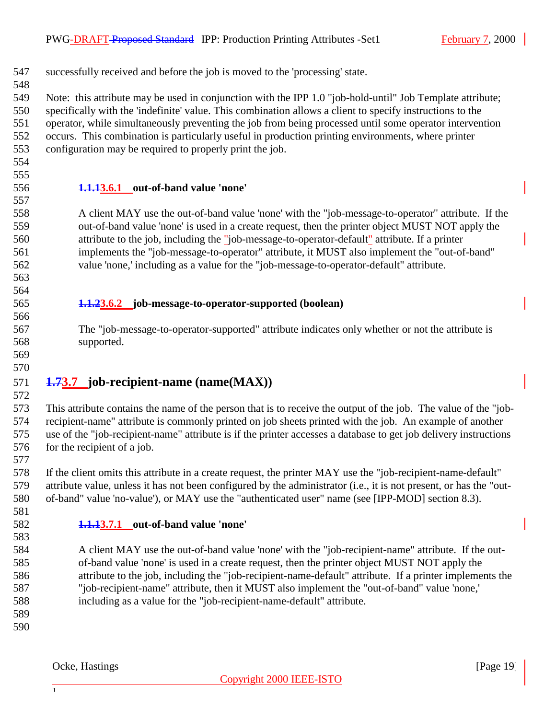<span id="page-18-0"></span> successfully received and before the job is moved to the 'processing' state. Note: this attribute may be used in conjunction with the IPP 1.0 "job-hold-until" Job Template attribute; specifically with the 'indefinite' value. This combination allows a client to specify instructions to the operator, while simultaneously preventing the job from being processed until some operator intervention occurs. This combination is particularly useful in production printing environments, where printer configuration may be required to properly print the job.

- 
- 

#### **1.1.13.6.1 out-of-band value 'none'**

 A client MAY use the out-of-band value 'none' with the "job-message-to-operator" attribute. If the out-of-band value 'none' is used in a create request, then the printer object MUST NOT apply the attribute to the job, including the "job-message-to-operator-default" attribute. If a printer implements the "job-message-to-operator" attribute, it MUST also implement the "out-of-band" value 'none,' including as a value for the "job-message-to-operator-default" attribute.

 

#### **1.1.23.6.2 job-message-to-operator-supported (boolean)**

 The "job-message-to-operator-supported" attribute indicates only whether or not the attribute is supported.

 

#### **1.73.7 job-recipient-name (name(MAX))**

 This attribute contains the name of the person that is to receive the output of the job. The value of the "job- recipient-name" attribute is commonly printed on job sheets printed with the job. An example of another use of the "job-recipient-name" attribute is if the printer accesses a database to get job delivery instructions 576 for the recipient of a job.

 If the client omits this attribute in a create request, the printer MAY use the "job-recipient-name-default" attribute value, unless it has not been configured by the administrator (i.e., it is not present, or has the "out-of-band" value 'no-value'), or MAY use the "authenticated user" name (see [IPP-MOD] section 8.3).

#### **1.1.13.7.1 out-of-band value 'none'**

 A client MAY use the out-of-band value 'none' with the "job-recipient-name" attribute. If the out- of-band value 'none' is used in a create request, then the printer object MUST NOT apply the attribute to the job, including the "job-recipient-name-default" attribute. If a printer implements the "job-recipient-name" attribute, then it MUST also implement the "out-of-band" value 'none,' including as a value for the "job-recipient-name-default" attribute.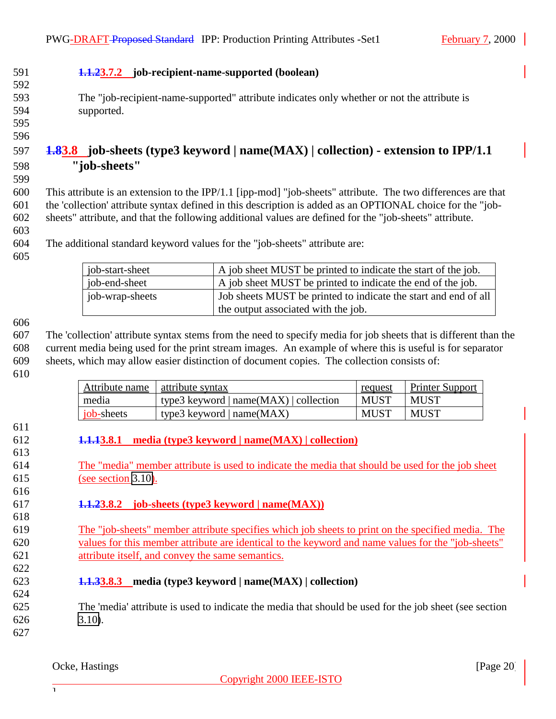### <span id="page-19-0"></span>**1.1.23.7.2 job-recipient-name-supported (boolean)**

- The "job-recipient-name-supported" attribute indicates only whether or not the attribute is supported.
- 

## **1.83.8 job-sheets (type3 keyword | name(MAX) | collection) - extension to IPP/1.1 "job-sheets"**

 This attribute is an extension to the IPP/1.1 [ipp-mod] "job-sheets" attribute. The two differences are that the 'collection' attribute syntax defined in this description is added as an OPTIONAL choice for the "job-sheets" attribute, and that the following additional values are defined for the "job-sheets" attribute.

The additional standard keyword values for the "job-sheets" attribute are:

| job-start-sheet | A job sheet MUST be printed to indicate the start of the job.                                          |
|-----------------|--------------------------------------------------------------------------------------------------------|
| job-end-sheet   | A job sheet MUST be printed to indicate the end of the job.                                            |
| job-wrap-sheets | Job sheets MUST be printed to indicate the start and end of all<br>the output associated with the job. |

 The 'collection' attribute syntax stems from the need to specify media for job sheets that is different than the current media being used for the print stream images. An example of where this is useful is for separator sheets, which may allow easier distinction of document copies. The collection consists of:

| Attribute name | attribute syntax                         | request     | <b>Printer Support</b> |
|----------------|------------------------------------------|-------------|------------------------|
| media          | type3 keyword   $name(MAX)$   collection | MUST        | <b>MUST</b>            |
| job-sheets     | type3 keyword $ name(MAX) $              | <b>MUST</b> | <b>MUST</b>            |

- **1.1.13.8.1 media (type3 keyword | name(MAX) | collection)**
- The "media" member attribute is used to indicate the media that should be used for the job sheet (see section [3.10\)](#page-20-0).
- **1.1.23.8.2 job-sheets (type3 keyword | name(MAX))**
- The "job-sheets" member attribute specifies which job sheets to print on the specified media. The values for this member attribute are identical to the keyword and name values for the "job-sheets" attribute itself, and convey the same semantics.
- **1.1.33.8.3 media (type3 keyword | name(MAX) | collection)**

 The 'media' attribute is used to indicate the media that should be used for the job sheet (see section [3.10\)](#page-20-0).

Ocke, Hastings [Page 20] **Page 20**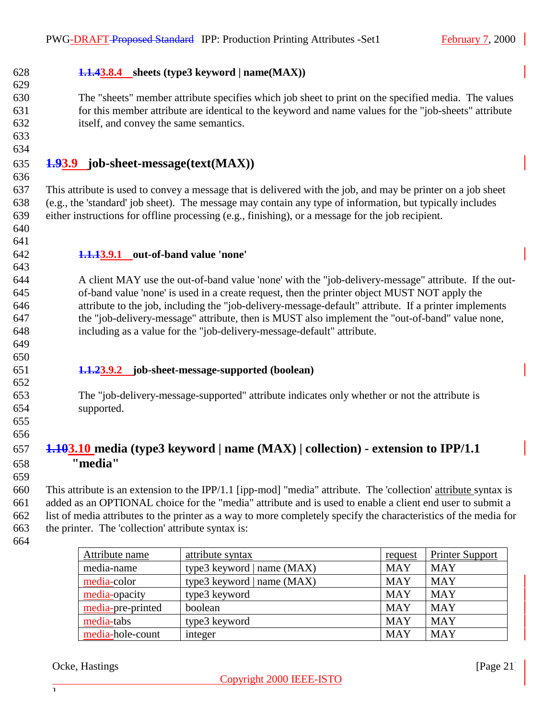## <span id="page-20-0"></span>**1.1.43.8.4 sheets (type3 keyword | name(MAX))**

 The "sheets" member attribute specifies which job sheet to print on the specified media. The values for this member attribute are identical to the keyword and name values for the "job-sheets" attribute itself, and convey the same semantics.

 

#### **1.93.9 job-sheet-message(text(MAX))**

 This attribute is used to convey a message that is delivered with the job, and may be printer on a job sheet (e.g., the 'standard' job sheet). The message may contain any type of information, but typically includes either instructions for offline processing (e.g., finishing), or a message for the job recipient.

 

#### **1.1.13.9.1 out-of-band value 'none'**

 A client MAY use the out-of-band value 'none' with the "job-delivery-message" attribute. If the out- of-band value 'none' is used in a create request, then the printer object MUST NOT apply the attribute to the job, including the "job-delivery-message-default" attribute. If a printer implements the "job-delivery-message" attribute, then is MUST also implement the "out-of-band" value none, including as a value for the "job-delivery-message-default" attribute.

 

#### **1.1.23.9.2 job-sheet-message-supported (boolean)**

 The "job-delivery-message-supported" attribute indicates only whether or not the attribute is supported.

 

## **1.103.10 media (type3 keyword | name (MAX) | collection) - extension to IPP/1.1 "media"**

 This attribute is an extension to the IPP/1.1 [ipp-mod] "media" attribute. The 'collection' attribute syntax is added as an OPTIONAL choice for the "media" attribute and is used to enable a client end user to submit a list of media attributes to the printer as a way to more completely specify the characteristics of the media for the printer. The 'collection' attribute syntax is:

| Attribute name    | attribute syntax             | request    | <b>Printer Support</b> |
|-------------------|------------------------------|------------|------------------------|
| media-name        | type3 keyword   name $(MAX)$ | <b>MAY</b> | <b>MAY</b>             |
| media-color       | type3 keyword   name $(MAX)$ | <b>MAY</b> | <b>MAY</b>             |
| media-opacity     | type3 keyword                | <b>MAY</b> | <b>MAY</b>             |
| media-pre-printed | boolean                      | <b>MAY</b> | <b>MAY</b>             |
| media-tabs        | type3 keyword                | <b>MAY</b> | <b>MAY</b>             |
| media-hole-count  | integer                      | <b>MAY</b> | <b>MAY</b>             |

Ocke, Hastings [Page 21]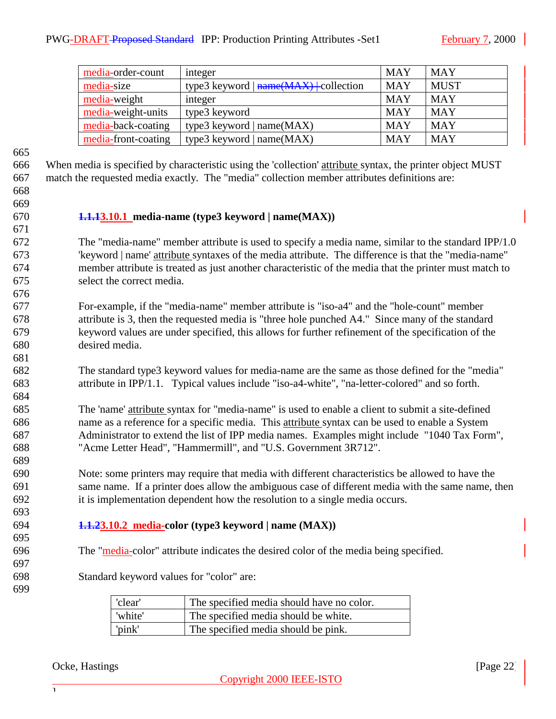<span id="page-21-0"></span>

| media-order-count   | integer                                   | <b>MAY</b> | <b>MAY</b>  |
|---------------------|-------------------------------------------|------------|-------------|
| media-size          | type3 keyword $ \n{name}(MAX)$ collection | <b>MAY</b> | <b>MUST</b> |
| media-weight        | integer                                   | <b>MAY</b> | <b>MAY</b>  |
| media-weight-units  | type3 keyword                             | <b>MAY</b> | <b>MAY</b>  |
| media-back-coating  | type3 keyword   $name(MAX)$               | <b>MAY</b> | <b>MAY</b>  |
| media-front-coating | type3 keyword   $name(MAX)$               | <b>MAY</b> | <b>MAY</b>  |

 When media is specified by characteristic using the 'collection' attribute syntax, the printer object MUST match the requested media exactly. The "media" collection member attributes definitions are:

## 

#### **1.1.13.10.1 media-name (type3 keyword | name(MAX))**

 The "media-name" member attribute is used to specify a media name, similar to the standard IPP/1.0 'keyword | name' attribute syntaxes of the media attribute. The difference is that the "media-name" member attribute is treated as just another characteristic of the media that the printer must match to select the correct media.

- For-example, if the "media-name" member attribute is "iso-a4" and the "hole-count" member attribute is 3, then the requested media is "three hole punched A4." Since many of the standard keyword values are under specified, this allows for further refinement of the specification of the desired media.
- The standard type3 keyword values for media-name are the same as those defined for the "media" attribute in IPP/1.1. Typical values include "iso-a4-white", "na-letter-colored" and so forth.
- The 'name' attribute syntax for "media-name" is used to enable a client to submit a site-defined name as a reference for a specific media. This attribute syntax can be used to enable a System Administrator to extend the list of IPP media names. Examples might include "1040 Tax Form", "Acme Letter Head", "Hammermill", and "U.S. Government 3R712".

 Note: some printers may require that media with different characteristics be allowed to have the same name. If a printer does allow the ambiguous case of different media with the same name, then it is implementation dependent how the resolution to a single media occurs.

#### **1.1.23.10.2 media-color (type3 keyword | name (MAX))**

- The "media-color" attribute indicates the desired color of the media being specified.
- 

Standard keyword values for "color" are:

| 'clear' | The specified media should have no color. |
|---------|-------------------------------------------|
| 'white' | The specified media should be white.      |
| 'pink'  | The specified media should be pink.       |

#### Ocke, Hastings [Page 22] [Page 22] [Page 22] [Page 22] [Page 22] [Page 22] [Page 22] [Page 22] [Page 22] [Page 22] [Page 22] [Page 22] [Page 22] [Page 22] [Page 22] [Page 22] [Page 22] [Page 22] [Page 22] [Page 22] [Page 2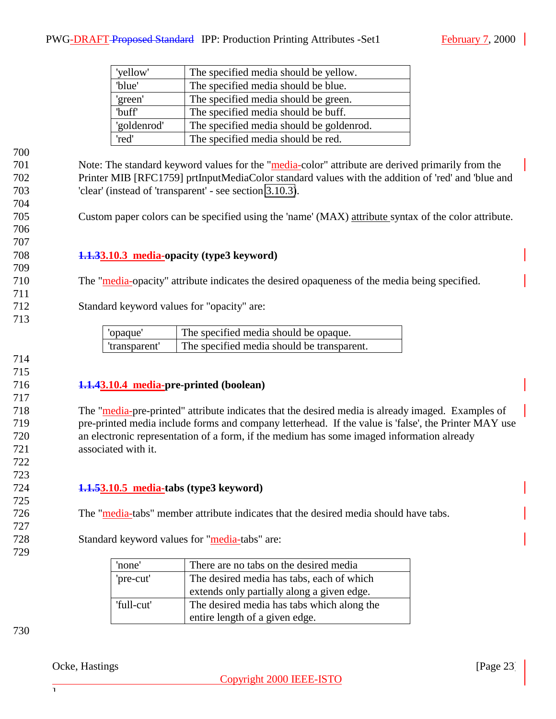<span id="page-22-0"></span>

| 'yellow'          | The specified media should be yellow.    |
|-------------------|------------------------------------------|
| 'blue'            | The specified media should be blue.      |
| 'green'           | The specified media should be green.     |
| buff <sup>'</sup> | The specified media should be buff.      |
| 'goldenrod'       | The specified media should be goldenrod. |
| 'red'             | The specified media should be red.       |

 

 Note: The standard keyword values for the "media-color" attribute are derived primarily from the Printer MIB [RFC1759] prtInputMediaColor standard values with the addition of 'red' and 'blue and 'clear' (instead of 'transparent' - see section 3.10.3).

Custom paper colors can be specified using the 'name' (MAX) attribute syntax of the color attribute.

#### **1.1.33.10.3 media-opacity (type3 keyword)**

- The "media-opacity" attribute indicates the desired opaqueness of the media being specified.
- Standard keyword values for "opacity" are:

| 'opaque'      | The specified media should be opaque.      |
|---------------|--------------------------------------------|
| 'transparent' | The specified media should be transparent. |

#### 

 

#### **1.1.43.10.4 media-pre-printed (boolean)**

 The "media-pre-printed" attribute indicates that the desired media is already imaged. Examples of pre-printed media include forms and company letterhead. If the value is 'false', the Printer MAY use an electronic representation of a form, if the medium has some imaged information already associated with it.

#### **1.1.53.10.5 media-tabs (type3 keyword)**

The "media-tabs" member attribute indicates that the desired media should have tabs.

#### 728 Standard keyword values for "media-tabs" are:

| 'none'     | There are no tabs on the desired media     |
|------------|--------------------------------------------|
| 'pre-cut'  | The desired media has tabs, each of which  |
|            | extends only partially along a given edge. |
| 'full-cut' | The desired media has tabs which along the |
|            | entire length of a given edge.             |

#### Ocke, Hastings [Page 23] [Page 23] [Page 23] [Page 23] [Page 23] [Page 23] [Page 23] [Page 23] [Page 23] [Page 23] [Page 23] [Page 23] [Page 23] [Page 23] [Page 23] [Page 23] [Page 23] [Page 23] [Page 23] [Page 23] [Page 2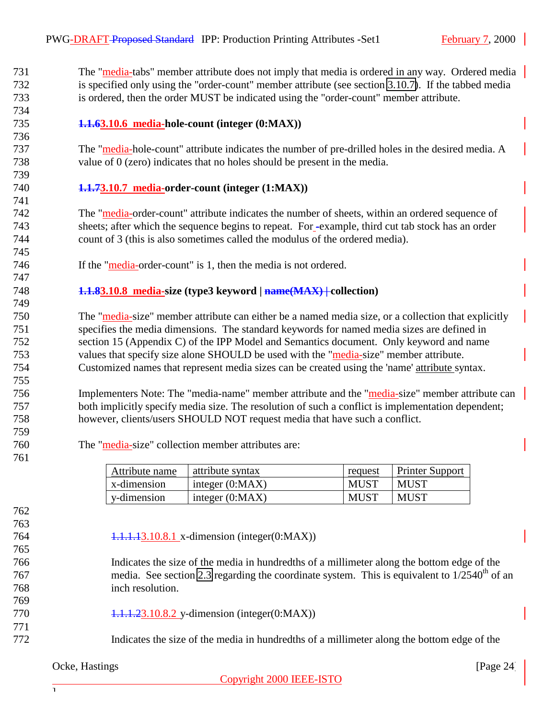<span id="page-23-0"></span> The "media-tabs" member attribute does not imply that media is ordered in any way. Ordered media is specified only using the "order-count" member attribute (see section 3.10.7). If the tabbed media is ordered, then the order MUST be indicated using the "order-count" member attribute.

### **1.1.63.10.6 media-hole-count (integer (0:MAX))**

 The "media-hole-count" attribute indicates the number of pre-drilled holes in the desired media. A value of 0 (zero) indicates that no holes should be present in the media. 

#### **1.1.73.10.7 media-order-count (integer (1:MAX))**

 The "media-order-count" attribute indicates the number of sheets, within an ordered sequence of sheets; after which the sequence begins to repeat. For -example, third cut tab stock has an order count of 3 (this is also sometimes called the modulus of the ordered media).

746 If the "media-order-count" is 1, then the media is not ordered.

#### **1.1.83.10.8 media-size (type3 keyword | name(MAX) | collection)**

 The "media-size" member attribute can either be a named media size, or a collection that explicitly specifies the media dimensions. The standard keywords for named media sizes are defined in section 15 (Appendix C) of the IPP Model and Semantics document. Only keyword and name values that specify size alone SHOULD be used with the "media-size" member attribute. Customized names that represent media sizes can be created using the 'name' attribute syntax.

756 Implementers Note: The "media-name" member attribute and the "media-size" member attribute can both implicitly specify media size. The resolution of such a conflict is implementation dependent; however, clients/users SHOULD NOT request media that have such a conflict.

 

The "media-size" collection member attributes are:

| Attribute name | attribute syntax  | request     | <b>Printer Support</b> |
|----------------|-------------------|-------------|------------------------|
| x-dimension    | integer $(0:MAX)$ | <b>MUST</b> | MUST                   |
| y-dimension    | integer $(0:MAX)$ | <b>MUST</b> | MUST                   |

 

1.1.1.13.10.8.1 x-dimension (integer(0:MAX))

 Indicates the size of the media in hundredths of a millimeter along the bottom edge of the  $\frac{767}{200}$  media. See section [2.3](#page-7-0) regarding the coordinate system. This is equivalent to  $\frac{1}{2}540^{\text{th}}$  of an inch resolution.

- 770 1.1.1.23.10.8.2 y-dimension (integer(0:MAX))
- Indicates the size of the media in hundredths of a millimeter along the bottom edge of the

#### Ocke, Hastings [Page 24] [Page 24] [Page 24] [Page 24] [Page 24] [Page 24] [Page 24] [Page 24] [Page 24] [Page 24] [Page 24] [Page 24] [Page 24] [Page 24] [Page 24] [Page 24] [Page 24] [Page 24] [Page 24] [Page 24] [Page 2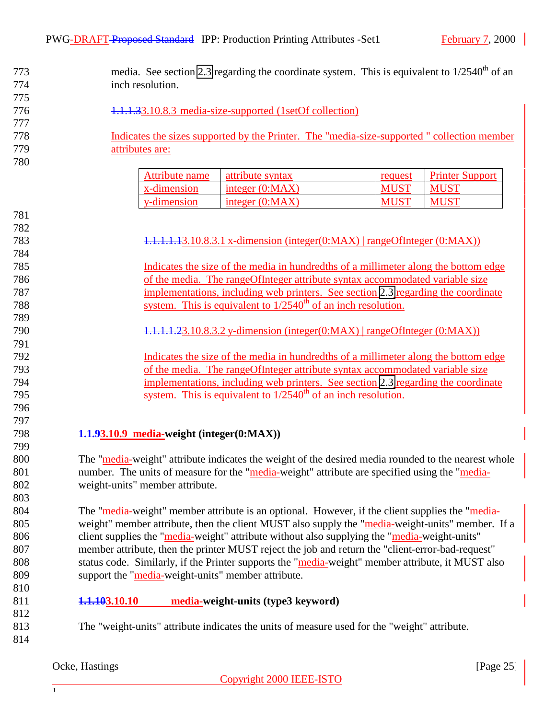<span id="page-24-0"></span>

| 773 |                                                          | media. See section 2.3 regarding the coordinate system. This is equivalent to $1/2540^{th}$ of an   |             |                        |
|-----|----------------------------------------------------------|-----------------------------------------------------------------------------------------------------|-------------|------------------------|
| 774 | inch resolution.                                         |                                                                                                     |             |                        |
| 775 |                                                          |                                                                                                     |             |                        |
| 776 | 1.1.1.33.10.8.3 media-size-supported (1setOf collection) |                                                                                                     |             |                        |
| 777 |                                                          |                                                                                                     |             |                        |
| 778 |                                                          | Indicates the sizes supported by the Printer. The "media-size-supported" collection member          |             |                        |
| 779 | attributes are:                                          |                                                                                                     |             |                        |
| 780 |                                                          |                                                                                                     |             |                        |
|     | <b>Attribute name</b>                                    | attribute syntax                                                                                    | request     | <b>Printer Support</b> |
|     | x-dimension                                              | integer (0:MAX)                                                                                     | <b>MUST</b> | <b>MUST</b>            |
|     | y-dimension                                              | integer $(0:MAX)$                                                                                   | <b>MUST</b> | <b>MUST</b>            |
| 781 |                                                          |                                                                                                     |             |                        |
| 782 |                                                          |                                                                                                     |             |                        |
| 783 |                                                          | $1.1.1.1.1.3.10.8.3.1$ x-dimension (integer(0:MAX)   rangeOfInteger (0:MAX))                        |             |                        |
| 784 |                                                          |                                                                                                     |             |                        |
| 785 |                                                          | Indicates the size of the media in hundredths of a millimeter along the bottom edge                 |             |                        |
| 786 |                                                          | of the media. The rangeOfInteger attribute syntax accommodated variable size                        |             |                        |
| 787 |                                                          | implementations, including web printers. See section 2.3 regarding the coordinate                   |             |                        |
| 788 |                                                          | system. This is equivalent to $1/2540^{\text{th}}$ of an inch resolution.                           |             |                        |
| 789 |                                                          |                                                                                                     |             |                        |
| 790 |                                                          | $1.1.1.1.23.10.8.3.2$ y-dimension (integer(0:MAX)   rangeOfInteger (0:MAX))                         |             |                        |
| 791 |                                                          |                                                                                                     |             |                        |
| 792 |                                                          | Indicates the size of the media in hundredths of a millimeter along the bottom edge                 |             |                        |
| 793 |                                                          | of the media. The rangeOfInteger attribute syntax accommodated variable size                        |             |                        |
| 794 |                                                          | implementations, including web printers. See section 2.3 regarding the coordinate                   |             |                        |
| 795 |                                                          | system. This is equivalent to $1/2540th$ of an inch resolution.                                     |             |                        |
| 796 |                                                          |                                                                                                     |             |                        |
| 797 |                                                          |                                                                                                     |             |                        |
| 798 | 1.1.93.10.9 media-weight (integer(0:MAX))                |                                                                                                     |             |                        |
| 799 |                                                          |                                                                                                     |             |                        |
| 800 |                                                          | The "media-weight" attribute indicates the weight of the desired media rounded to the nearest whole |             |                        |
| 801 |                                                          | number. The units of measure for the "media-weight" attribute are specified using the "media-       |             |                        |
| 802 | weight-units" member attribute.                          |                                                                                                     |             |                        |
| 803 |                                                          |                                                                                                     |             |                        |
| 804 |                                                          | The "media-weight" member attribute is an optional. However, if the client supplies the "media-     |             |                        |
| 805 |                                                          | weight" member attribute, then the client MUST also supply the "media-weight-units" member. If a    |             |                        |
| 806 |                                                          | client supplies the "media-weight" attribute without also supplying the "media-weight-units"        |             |                        |
| 807 |                                                          | member attribute, then the printer MUST reject the job and return the "client-error-bad-request"    |             |                        |
| 808 |                                                          | status code. Similarly, if the Printer supports the "media-weight" member attribute, it MUST also   |             |                        |
| 809 | support the "media-weight-units" member attribute.       |                                                                                                     |             |                        |
| 810 |                                                          |                                                                                                     |             |                        |
| 811 | <del>1.1.10</del> 3.10.10                                | media-weight-units (type3 keyword)                                                                  |             |                        |
| 812 |                                                          |                                                                                                     |             |                        |
| 813 |                                                          | The "weight-units" attribute indicates the units of measure used for the "weight" attribute.        |             |                        |
| 814 |                                                          |                                                                                                     |             |                        |

## Ocke, Hastings [Page 25]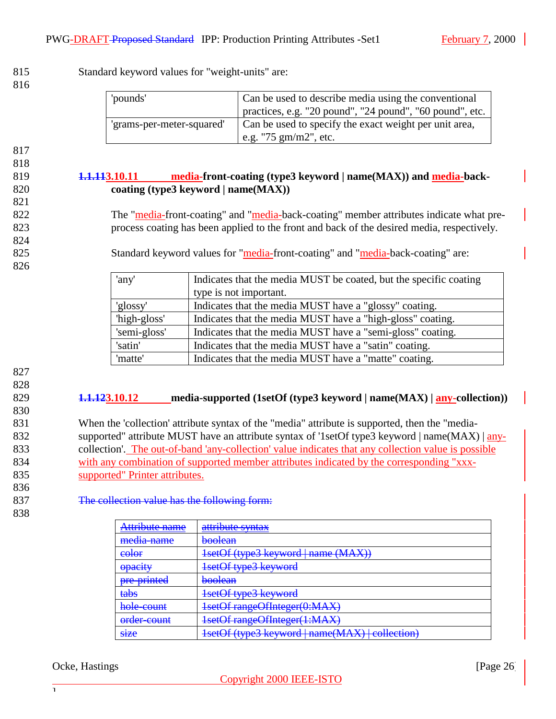<span id="page-25-0"></span>815 Standard keyword values for "weight-units" are:

| 'pounds'                  | Can be used to describe media using the conventional                                      |  |
|---------------------------|-------------------------------------------------------------------------------------------|--|
|                           | practices, e.g. "20 pound", "24 pound", "60 pound", etc.                                  |  |
| 'grams-per-meter-squared' | Can be used to specify the exact weight per unit area,<br>e.g. "75 $\text{gm/m2}$ ", etc. |  |

817

818

821

824

826

#### 819 **1.1.113.10.11 media-front-coating (type3 keyword | name(MAX)) and media-back-**820 **coating (type3 keyword | name(MAX))**

822 The "media-front-coating" and "media-back-coating" member attributes indicate what pre-823 process coating has been applied to the front and back of the desired media, respectively.

825 Standard keyword values for "media-front-coating" and "media-back-coating" are:

| 'any'        | Indicates that the media MUST be coated, but the specific coating |
|--------------|-------------------------------------------------------------------|
|              | type is not important.                                            |
| 'glossy'     | Indicates that the media MUST have a "glossy" coating.            |
| 'high-gloss' | Indicates that the media MUST have a "high-gloss" coating.        |
| 'semi-gloss' | Indicates that the media MUST have a "semi-gloss" coating.        |
| 'satin'      | Indicates that the media MUST have a "satin" coating.             |
| 'matte'      | Indicates that the media MUST have a "matte" coating.             |

827 828

830

#### 829 **1.1.123.10.12 media-supported (1setOf (type3 keyword | name(MAX) | any-collection))**

 When the 'collection' attribute syntax of the "media" attribute is supported, then the "media-832 supported" attribute MUST have an attribute syntax of '1setOf type3 keyword | name(MAX) | any- collection'. The out-of-band 'any-collection' value indicates that any collection value is possible with any combination of supported member attributes indicated by the corresponding "xxx-supported" Printer attributes.

836

838

837 The collection value has the following form:

| Attribute name                    | attribute syntax                                                       |
|-----------------------------------|------------------------------------------------------------------------|
| media-name                        | <del>boolean</del>                                                     |
| color                             | 1setOf (type3 keyword   name (MAX))                                    |
| opeeity<br><b>UDUCIL</b> Y        | $1$ cat $\Omega$ f tyng $2$ kayword<br><del>isciól types keyword</del> |
| nro printod<br><u>URV UNING U</u> | hoolaan<br><del>boolcan</del>                                          |
| tabs                              | 1setOf type3 keyword                                                   |
| hola count<br><b>TWIC WUITH</b>   | 1setOf rangeOfInteger(0:MAX)                                           |
| order-count                       | 1setOf rangeOfInteger(1:MAX)                                           |
| <b>size</b>                       | 1setOf (type3 keyword   name(MAX)   collection)                        |

#### Ocke, Hastings [Page 26] [Page 26]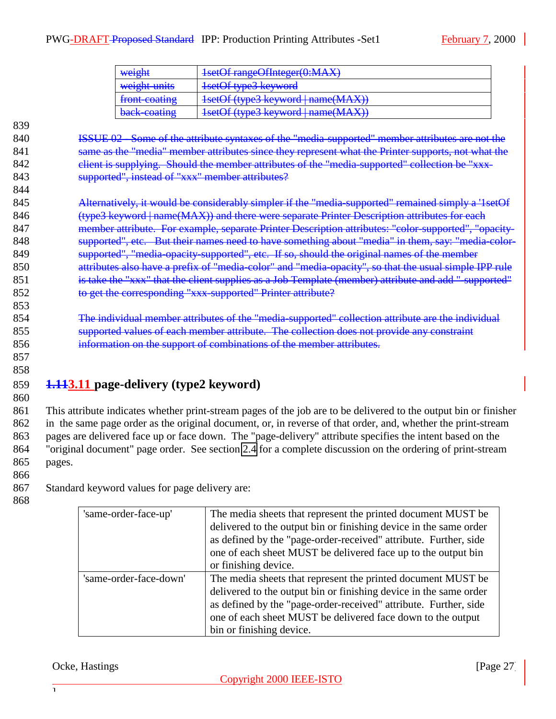<span id="page-26-0"></span>

| weight                                  | 1setOf rangeOfInteger(0:MAX)                                                                                     |
|-----------------------------------------|------------------------------------------------------------------------------------------------------------------|
| weight units                            | 1setOf type3 keyword                                                                                             |
| front-coating                           | 1setOf (type3 keyword   name(MAX))                                                                               |
| hack coating<br><del>oach coathrz</del> | $1$ cat $\Omega$ f (tyne? kayword   name $(M\Lambda Y)$ )<br><del>180001 (types keyword   lidlife(IVIAA)</del> ) |

844

840 **ISSUE 02** - Some of the attribute syntaxes of the "media-supported" member attributes are not the 841 same as the "media" member attributes since they represent what the Printer supports, not what the 842 client is supplying. Should the member attributes of the "media-supported" collection be "xxx-843 **Supported"**, instead of "xxx" member attributes?

845 Alternatively, it would be considerably simpler if the "media-supported" remained simply a '1setOf 846 (type3 keyword | name(MAX)) and there were separate Printer Description attributes for each 847 member attribute. For example, separate Printer Description attributes: "color-supported", "opacity-848 supported", etc. But their names need to have something about "media" in them, say: "media-color-849 supported", "media-opacity-supported", etc. If so, should the original names of the member 850 attributes also have a prefix of "media-color" and "media-opacity", so that the usual simple IPP rule 851 is take the "xxx" that the client supplies as a Job Template (member) attribute and add "-supported" 852 to get the corresponding "xxx-supported" Printer attribute?

854 The individual member attributes of the "media-supported" collection attribute are the individual 855 supported values of each member attribute. The collection does not provide any constraint 856 information on the support of combinations of the member attributes.

857 858

853

# 859 **1.113.11 page-delivery (type2 keyword)**

860

 This attribute indicates whether print-stream pages of the job are to be delivered to the output bin or finisher in the same page order as the original document, or, in reverse of that order, and, whether the print-stream pages are delivered face up or face down. The "page-delivery" attribute specifies the intent based on the "original document" page order. See section [2.4](#page-7-0) for a complete discussion on the ordering of print-stream 865 pages.

866

867 Standard keyword values for page delivery are:

| ۰,<br>×<br>۰,<br>I<br>× |
|-------------------------|
|-------------------------|

| 'same-order-face-up'   | The media sheets that represent the printed document MUST be.<br>delivered to the output bin or finishing device in the same order<br>as defined by the "page-order-received" attribute. Further, side<br>one of each sheet MUST be delivered face up to the output bin<br>or finishing device.   |
|------------------------|---------------------------------------------------------------------------------------------------------------------------------------------------------------------------------------------------------------------------------------------------------------------------------------------------|
| 'same-order-face-down' | The media sheets that represent the printed document MUST be.<br>delivered to the output bin or finishing device in the same order<br>as defined by the "page-order-received" attribute. Further, side<br>one of each sheet MUST be delivered face down to the output<br>bin or finishing device. |

#### Ocke, Hastings [Page 27] [Page 27] [Page 27] [Page 27] [Page 27] [Page 27] [Page 27] [Page 27] [Page 27] [Page 27] [Page 27] [Page 27] [Page 27] [Page 27] [Page 27] [Page 27] [Page 27] [Page 27] [Page 27] [Page 27] [Page 2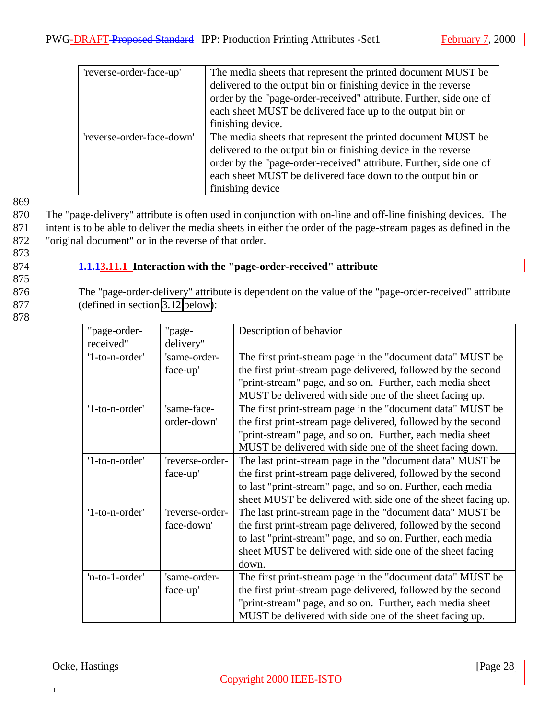<span id="page-27-0"></span>

| 'reverse-order-face-up'   | The media sheets that represent the printed document MUST be       |
|---------------------------|--------------------------------------------------------------------|
|                           | delivered to the output bin or finishing device in the reverse     |
|                           | order by the "page-order-received" attribute. Further, side one of |
|                           | each sheet MUST be delivered face up to the output bin or          |
|                           | finishing device.                                                  |
| 'reverse-order-face-down' | The media sheets that represent the printed document MUST be       |
|                           | delivered to the output bin or finishing device in the reverse     |
|                           | order by the "page-order-received" attribute. Further, side one of |
|                           | each sheet MUST be delivered face down to the output bin or        |
|                           | finishing device                                                   |

870 The "page-delivery" attribute is often used in conjunction with on-line and off-line finishing devices. The 871 intent is to be able to deliver the media sheets in either the order of the page-stream pages as defined in the 872 "original document" or in the reverse of that order.

873

# 874 **1.1.13.11.1 Interaction with the "page-order-received" attribute**

875

876 The "page-order-delivery" attribute is dependent on the value of the "page-order-received" attribute 877 (defined in section [3.12 below\)](#page-28-0):

878

| "page-order-   | "page-          | Description of behavior                                       |
|----------------|-----------------|---------------------------------------------------------------|
| received"      | delivery"       |                                                               |
| '1-to-n-order' | 'same-order-    | The first print-stream page in the "document data" MUST be    |
|                | face-up'        | the first print-stream page delivered, followed by the second |
|                |                 | "print-stream" page, and so on. Further, each media sheet     |
|                |                 | MUST be delivered with side one of the sheet facing up.       |
| '1-to-n-order' | 'same-face-     | The first print-stream page in the "document data" MUST be    |
|                | order-down'     | the first print-stream page delivered, followed by the second |
|                |                 | "print-stream" page, and so on. Further, each media sheet     |
|                |                 | MUST be delivered with side one of the sheet facing down.     |
| '1-to-n-order' | 'reverse-order- | The last print-stream page in the "document data" MUST be     |
|                | face-up'        | the first print-stream page delivered, followed by the second |
|                |                 | to last "print-stream" page, and so on. Further, each media   |
|                |                 | sheet MUST be delivered with side one of the sheet facing up. |
| '1-to-n-order' | 'reverse-order- | The last print-stream page in the "document data" MUST be     |
|                | face-down'      | the first print-stream page delivered, followed by the second |
|                |                 | to last "print-stream" page, and so on. Further, each media   |
|                |                 | sheet MUST be delivered with side one of the sheet facing     |
|                |                 | down.                                                         |
| 'n-to-1-order' | 'same-order-    | The first print-stream page in the "document data" MUST be    |
|                | face-up'        | the first print-stream page delivered, followed by the second |
|                |                 | "print-stream" page, and so on. Further, each media sheet     |
|                |                 | MUST be delivered with side one of the sheet facing up.       |

Ocke, Hastings [Page 28]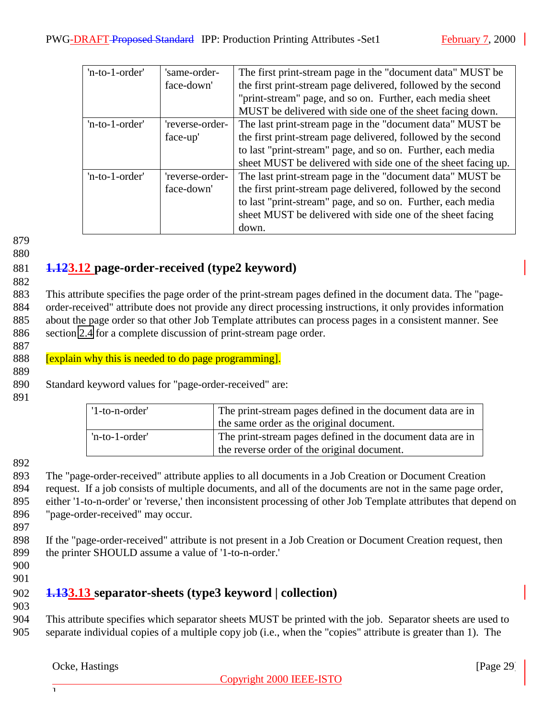<span id="page-28-0"></span>

| 'n-to-1-order' | 'same-order-    | The first print-stream page in the "document data" MUST be    |
|----------------|-----------------|---------------------------------------------------------------|
|                | face-down'      | the first print-stream page delivered, followed by the second |
|                |                 | "print-stream" page, and so on. Further, each media sheet     |
|                |                 | MUST be delivered with side one of the sheet facing down.     |
| 'n-to-1-order' | 'reverse-order- | The last print-stream page in the "document data" MUST be     |
|                | face-up'        | the first print-stream page delivered, followed by the second |
|                |                 | to last "print-stream" page, and so on. Further, each media   |
|                |                 | sheet MUST be delivered with side one of the sheet facing up. |
| 'n-to-1-order' | 'reverse-order- | The last print-stream page in the "document data" MUST be     |
|                | face-down'      | the first print-stream page delivered, followed by the second |
|                |                 | to last "print-stream" page, and so on. Further, each media   |
|                |                 | sheet MUST be delivered with side one of the sheet facing     |
|                |                 | down.                                                         |

#### 880

#### 881 **1.123.12 page-order-received (type2 keyword)** 882

 This attribute specifies the page order of the print-stream pages defined in the document data. The "page- order-received" attribute does not provide any direct processing instructions, it only provides information about the page order so that other Job Template attributes can process pages in a consistent manner. See section [2.4](#page-7-0) for a complete discussion of print-stream page order.

## 887

889

888 [explain why this is needed to do page programming].

890 Standard keyword values for "page-order-received" are:

891

| '1-to-n-order' | The print-stream pages defined in the document data are in<br>the same order as the original document.    |
|----------------|-----------------------------------------------------------------------------------------------------------|
| 'n-to-1-order' | The print-stream pages defined in the document data are in<br>the reverse order of the original document. |

#### 892

 The "page-order-received" attribute applies to all documents in a Job Creation or Document Creation request. If a job consists of multiple documents, and all of the documents are not in the same page order, either '1-to-n-order' or 'reverse,' then inconsistent processing of other Job Template attributes that depend on "page-order-received" may occur.

897

898 If the "page-order-received" attribute is not present in a Job Creation or Document Creation request, then 899 the printer SHOULD assume a value of '1-to-n-order.'

- 900
- 901

## 902 **1.133.13 separator-sheets (type3 keyword | collection)**

903

904 This attribute specifies which separator sheets MUST be printed with the job. Separator sheets are used to 905 separate individual copies of a multiple copy job (i.e., when the "copies" attribute is greater than 1). The

#### Ocke, Hastings [Page 29]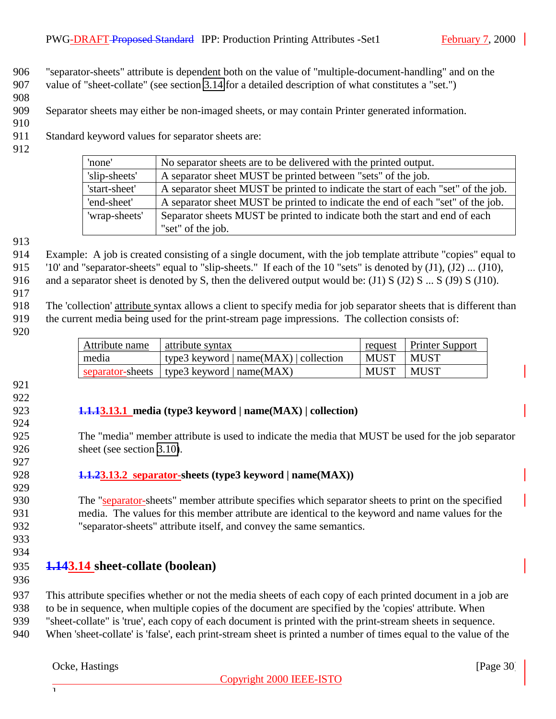<span id="page-29-0"></span> "separator-sheets" attribute is dependent both on the value of "multiple-document-handling" and on the value of "sheet-collate" (see section 3.14 for a detailed description of what constitutes a "set.")

Separator sheets may either be non-imaged sheets, or may contain Printer generated information.

Standard keyword values for separator sheets are:

| 'none'        | No separator sheets are to be delivered with the printed output.                  |
|---------------|-----------------------------------------------------------------------------------|
| 'slip-sheets' | A separator sheet MUST be printed between "sets" of the job.                      |
| 'start-sheet' | A separator sheet MUST be printed to indicate the start of each "set" of the job. |
| 'end-sheet'   | A separator sheet MUST be printed to indicate the end of each "set" of the job.   |
| 'wrap-sheets' | Separator sheets MUST be printed to indicate both the start and end of each       |
|               | "set" of the job.                                                                 |

 Example: A job is created consisting of a single document, with the job template attribute "copies" equal to '10' and "separator-sheets" equal to "slip-sheets." If each of the 10 "sets" is denoted by (J1), (J2) ... (J10), 916 and a separator sheet is denoted by S, then the delivered output would be: (J1) S (J2) S ... S (J9) S (J10).

 The 'collection' attribute syntax allows a client to specify media for job separator sheets that is different than the current media being used for the print-stream page impressions. The collection consists of:

| Attribute name | attribute syntax                             |             | request   Printer Support |
|----------------|----------------------------------------------|-------------|---------------------------|
| media          | type3 keyword $ name(MAX) $ collection       | <b>MUST</b> | MUST                      |
|                | separator-sheets   type3 keyword   name(MAX) | <b>MUST</b> | MUST                      |

- 
- 

#### **1.1.13.13.1 media (type3 keyword | name(MAX) | collection)**

 The "media" member attribute is used to indicate the media that MUST be used for the job separator 926 sheet (see section [3.10\)](#page-20-0).

**1.1.23.13.2 separator-sheets (type3 keyword | name(MAX))**

 The "separator-sheets" member attribute specifies which separator sheets to print on the specified media. The values for this member attribute are identical to the keyword and name values for the "separator-sheets" attribute itself, and convey the same semantics.

 

## **1.143.14 sheet-collate (boolean)**

 This attribute specifies whether or not the media sheets of each copy of each printed document in a job are to be in sequence, when multiple copies of the document are specified by the 'copies' attribute. When "sheet-collate" is 'true', each copy of each document is printed with the print-stream sheets in sequence.

When 'sheet-collate' is 'false', each print-stream sheet is printed a number of times equal to the value of the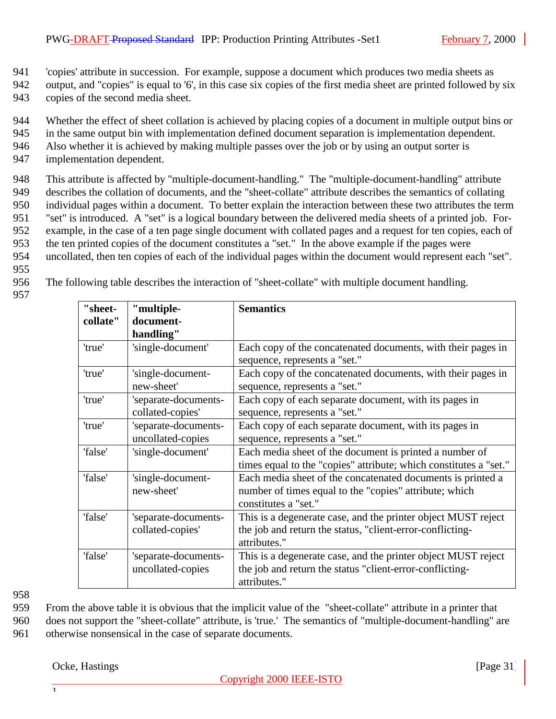941 'copies' attribute in succession. For example, suppose a document which produces two media sheets as

942 output, and "copies" is equal to '6', in this case six copies of the first media sheet are printed followed by six 943 copies of the second media sheet.

- 944 Whether the effect of sheet collation is achieved by placing copies of a document in multiple output bins or
- 945 in the same output bin with implementation defined document separation is implementation dependent.
- 946 Also whether it is achieved by making multiple passes over the job or by using an output sorter is
- 947 implementation dependent.

 This attribute is affected by "multiple-document-handling." The "multiple-document-handling" attribute describes the collation of documents, and the "sheet-collate" attribute describes the semantics of collating individual pages within a document. To better explain the interaction between these two attributes the term "set" is introduced. A "set" is a logical boundary between the delivered media sheets of a printed job. For- example, in the case of a ten page single document with collated pages and a request for ten copies, each of the ten printed copies of the document constitutes a "set." In the above example if the pages were uncollated, then ten copies of each of the individual pages within the document would represent each "set".

- 955
- 956 The following table describes the interaction of "sheet-collate" with multiple document handling.
- 957

| "sheet-  | "multiple-                                | <b>Semantics</b>                                                                                                                              |
|----------|-------------------------------------------|-----------------------------------------------------------------------------------------------------------------------------------------------|
| collate" | document-<br>handling"                    |                                                                                                                                               |
| 'true'   | 'single-document'                         | Each copy of the concatenated documents, with their pages in<br>sequence, represents a "set."                                                 |
| 'true'   | 'single-document-<br>new-sheet'           | Each copy of the concatenated documents, with their pages in<br>sequence, represents a "set."                                                 |
| 'true'   | 'separate-documents-<br>collated-copies'  | Each copy of each separate document, with its pages in<br>sequence, represents a "set."                                                       |
| 'true'   | 'separate-documents-<br>uncollated-copies | Each copy of each separate document, with its pages in<br>sequence, represents a "set."                                                       |
| 'false'  | 'single-document'                         | Each media sheet of the document is printed a number of<br>times equal to the "copies" attribute; which constitutes a "set."                  |
| 'false'  | 'single-document-<br>new-sheet'           | Each media sheet of the concatenated documents is printed a<br>number of times equal to the "copies" attribute; which<br>constitutes a "set." |
| 'false'  | 'separate-documents-<br>collated-copies'  | This is a degenerate case, and the printer object MUST reject<br>the job and return the status, "client-error-conflicting-<br>attributes."    |
| 'false'  | 'separate-documents-<br>uncollated-copies | This is a degenerate case, and the printer object MUST reject<br>the job and return the status "client-error-conflicting-<br>attributes."     |

958

959 From the above table it is obvious that the implicit value of the "sheet-collate" attribute in a printer that

960 does not support the "sheet-collate" attribute, is 'true.' The semantics of "multiple-document-handling" are 961 otherwise nonsensical in the case of separate documents.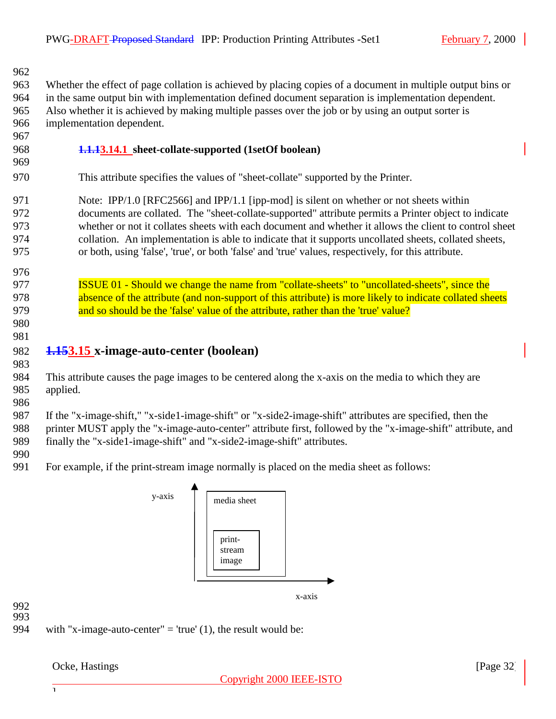<span id="page-31-0"></span> Whether the effect of page collation is achieved by placing copies of a document in multiple output bins or in the same output bin with implementation defined document separation is implementation dependent. Also whether it is achieved by making multiple passes over the job or by using an output sorter is implementation dependent.

- 
- 
- **1.1.13.14.1 sheet-collate-supported (1setOf boolean)**
- This attribute specifies the values of "sheet-collate" supported by the Printer.

971 Note: IPP/1.0 [RFC2566] and IPP/1.1 [ipp-mod] is silent on whether or not sheets within documents are collated. The "sheet-collate-supported" attribute permits a Printer object to indicate whether or not it collates sheets with each document and whether it allows the client to control sheet collation. An implementation is able to indicate that it supports uncollated sheets, collated sheets, or both, using 'false', 'true', or both 'false' and 'true' values, respectively, for this attribute.

- **ISSUE 01 Should we change the name from "collate-sheets" to "uncollated-sheets", since the** 978 absence of the attribute (and non-support of this attribute) is more likely to indicate collated sheets 979 and so should be the 'false' value of the attribute, rather than the 'true' value?
- 

## **1.153.15 x-image-auto-center (boolean)**

 This attribute causes the page images to be centered along the x-axis on the media to which they are applied.

 If the "x-image-shift," "x-side1-image-shift" or "x-side2-image-shift" attributes are specified, then the printer MUST apply the "x-image-auto-center" attribute first, followed by the "x-image-shift" attribute, and finally the "x-side1-image-shift" and "x-side2-image-shift" attributes.

For example, if the print-stream image normally is placed on the media sheet as follows:



 

994 with "x-image-auto-center" = 'true'  $(1)$ , the result would be:

Ocke, Hastings [Page 32]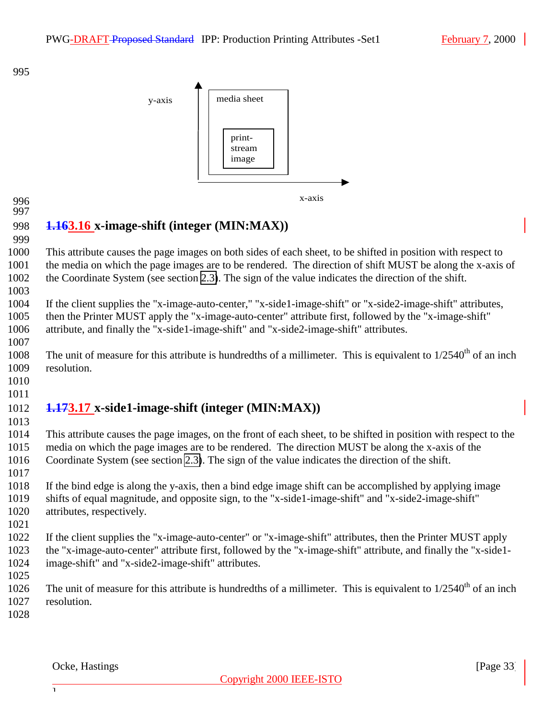<span id="page-32-0"></span>

 

# **1.163.16 x-image-shift (integer (MIN:MAX))**

 This attribute causes the page images on both sides of each sheet, to be shifted in position with respect to the media on which the page images are to be rendered. The direction of shift MUST be along the x-axis of the Coordinate System (see section [2.3\)](#page-7-0). The sign of the value indicates the direction of the shift.

 If the client supplies the "x-image-auto-center," "x-side1-image-shift" or "x-side2-image-shift" attributes, then the Printer MUST apply the "x-image-auto-center" attribute first, followed by the "x-image-shift" attribute, and finally the "x-side1-image-shift" and "x-side2-image-shift" attributes.

1008 The unit of measure for this attribute is hundredths of a millimeter. This is equivalent to  $1/2540<sup>th</sup>$  of an inch resolution.

 

#### **1.173.17 x-side1-image-shift (integer (MIN:MAX))**

 This attribute causes the page images, on the front of each sheet, to be shifted in position with respect to the media on which the page images are to be rendered. The direction MUST be along the x-axis of the Coordinate System (see section [2.3\)](#page-7-0). The sign of the value indicates the direction of the shift.

- If the bind edge is along the y-axis, then a bind edge image shift can be accomplished by applying image shifts of equal magnitude, and opposite sign, to the "x-side1-image-shift" and "x-side2-image-shift" attributes, respectively.
- 

- If the client supplies the "x-image-auto-center" or "x-image-shift" attributes, then the Printer MUST apply the "x-image-auto-center" attribute first, followed by the "x-image-shift" attribute, and finally the "x-side1- image-shift" and "x-side2-image-shift" attributes.
- 
- 1026 The unit of measure for this attribute is hundredths of a millimeter. This is equivalent to  $1/2540<sup>th</sup>$  of an inch resolution.
-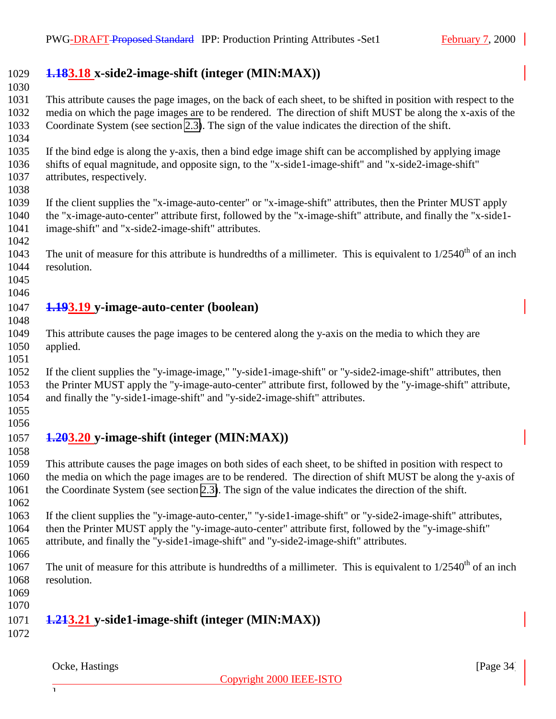## <span id="page-33-0"></span>**1.183.18 x-side2-image-shift (integer (MIN:MAX))**

 This attribute causes the page images, on the back of each sheet, to be shifted in position with respect to the media on which the page images are to be rendered. The direction of shift MUST be along the x-axis of the Coordinate System (see section [2.3\)](#page-7-0). The sign of the value indicates the direction of the shift.

- If the bind edge is along the y-axis, then a bind edge image shift can be accomplished by applying image shifts of equal magnitude, and opposite sign, to the "x-side1-image-shift" and "x-side2-image-shift" attributes, respectively.
- 

- If the client supplies the "x-image-auto-center" or "x-image-shift" attributes, then the Printer MUST apply the "x-image-auto-center" attribute first, followed by the "x-image-shift" attribute, and finally the "x-side1- image-shift" and "x-side2-image-shift" attributes.
- The unit of measure for this attribute is hundredths of a millimeter. This is equivalent to  $1/2540<sup>th</sup>$  of an inch resolution.
- 

## **1.193.19 y-image-auto-center (boolean)**

- This attribute causes the page images to be centered along the y-axis on the media to which they are applied.
- 

 If the client supplies the "y-image-image," "y-side1-image-shift" or "y-side2-image-shift" attributes, then the Printer MUST apply the "y-image-auto-center" attribute first, followed by the "y-image-shift" attribute, and finally the "y-side1-image-shift" and "y-side2-image-shift" attributes.

 

## **1.203.20 y-image-shift (integer (MIN:MAX))**

 This attribute causes the page images on both sides of each sheet, to be shifted in position with respect to the media on which the page images are to be rendered. The direction of shift MUST be along the y-axis of the Coordinate System (see section [2.3\)](#page-7-0). The sign of the value indicates the direction of the shift. 

- If the client supplies the "y-image-auto-center," "y-side1-image-shift" or "y-side2-image-shift" attributes, then the Printer MUST apply the "y-image-auto-center" attribute first, followed by the "y-image-shift" attribute, and finally the "y-side1-image-shift" and "y-side2-image-shift" attributes.
- 
- 1067 The unit of measure for this attribute is hundredths of a millimeter. This is equivalent to  $1/2540<sup>th</sup>$  of an inch resolution.
- 

# **1.213.21 y-side1-image-shift (integer (MIN:MAX))**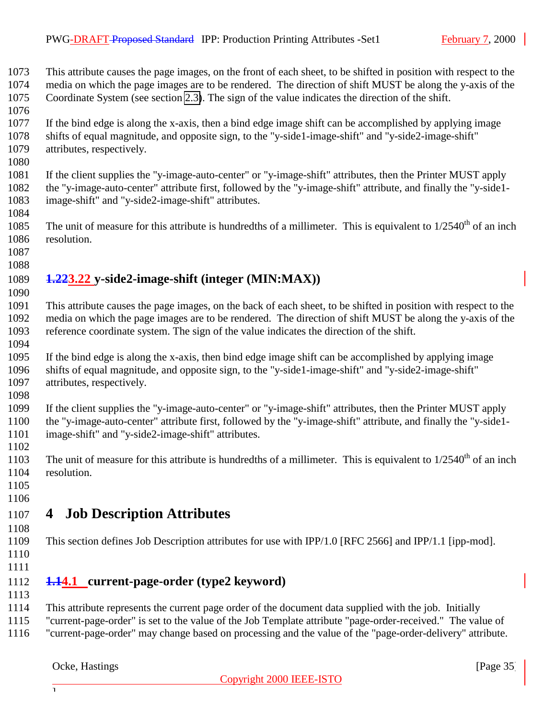<span id="page-34-0"></span> This attribute causes the page images, on the front of each sheet, to be shifted in position with respect to the media on which the page images are to be rendered. The direction of shift MUST be along the y-axis of the Coordinate System (see section [2.3\)](#page-7-0). The sign of the value indicates the direction of the shift.

- If the bind edge is along the x-axis, then a bind edge image shift can be accomplished by applying image shifts of equal magnitude, and opposite sign, to the "y-side1-image-shift" and "y-side2-image-shift" attributes, respectively.
- 

 If the client supplies the "y-image-auto-center" or "y-image-shift" attributes, then the Printer MUST apply the "y-image-auto-center" attribute first, followed by the "y-image-shift" attribute, and finally the "y-side1- image-shift" and "y-side2-image-shift" attributes.

- 1085 The unit of measure for this attribute is hundredths of a millimeter. This is equivalent to  $1/2540<sup>th</sup>$  of an inch resolution.
- 

## **1.223.22 y-side2-image-shift (integer (MIN:MAX))**

 This attribute causes the page images, on the back of each sheet, to be shifted in position with respect to the media on which the page images are to be rendered. The direction of shift MUST be along the y-axis of the reference coordinate system. The sign of the value indicates the direction of the shift.

 If the bind edge is along the x-axis, then bind edge image shift can be accomplished by applying image shifts of equal magnitude, and opposite sign, to the "y-side1-image-shift" and "y-side2-image-shift" attributes, respectively.

 If the client supplies the "y-image-auto-center" or "y-image-shift" attributes, then the Printer MUST apply the "y-image-auto-center" attribute first, followed by the "y-image-shift" attribute, and finally the "y-side1- image-shift" and "y-side2-image-shift" attributes.

The unit of measure for this attribute is hundredths of a millimeter. This is equivalent to  $1/2540<sup>th</sup>$  of an inch resolution.

 

## **4 Job Description Attributes**

- This section defines Job Description attributes for use with IPP/1.0 [RFC 2566] and IPP/1.1 [ipp-mod].
- 
- 

#### **1.14.1 current-page-order (type2 keyword)**

This attribute represents the current page order of the document data supplied with the job. Initially

"current-page-order" is set to the value of the Job Template attribute "page-order-received." The value of

"current-page-order" may change based on processing and the value of the "page-order-delivery" attribute.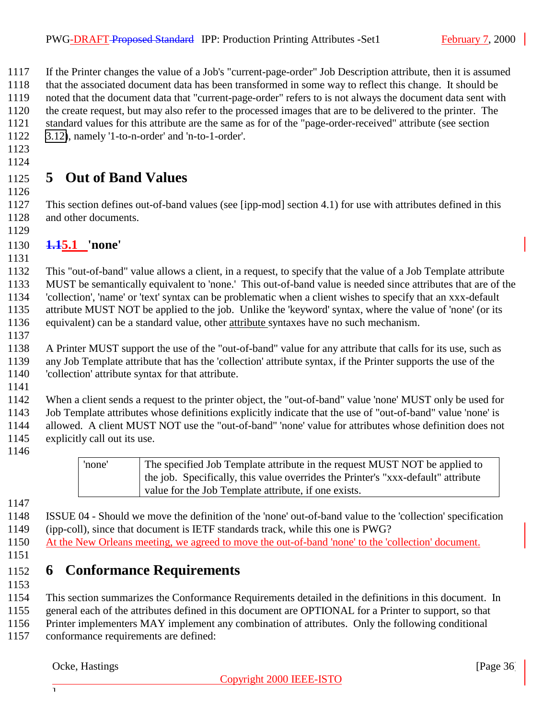<span id="page-35-0"></span> If the Printer changes the value of a Job's "current-page-order" Job Description attribute, then it is assumed that the associated document data has been transformed in some way to reflect this change. It should be noted that the document data that "current-page-order" refers to is not always the document data sent with the create request, but may also refer to the processed images that are to be delivered to the printer. The standard values for this attribute are the same as for of the "page-order-received" attribute (see section [3.12\)](#page-28-0), namely '1-to-n-order' and 'n-to-1-order'.

 

# **5 Out of Band Values**

 This section defines out-of-band values (see [ipp-mod] section 4.1) for use with attributes defined in this and other documents.

## **1.15.1 'none'**

 This "out-of-band" value allows a client, in a request, to specify that the value of a Job Template attribute MUST be semantically equivalent to 'none.' This out-of-band value is needed since attributes that are of the 'collection', 'name' or 'text' syntax can be problematic when a client wishes to specify that an xxx-default attribute MUST NOT be applied to the job. Unlike the 'keyword' syntax, where the value of 'none' (or its equivalent) can be a standard value, other attribute syntaxes have no such mechanism.

 A Printer MUST support the use of the "out-of-band" value for any attribute that calls for its use, such as any Job Template attribute that has the 'collection' attribute syntax, if the Printer supports the use of the 'collection' attribute syntax for that attribute.

 When a client sends a request to the printer object, the "out-of-band" value 'none' MUST only be used for Job Template attributes whose definitions explicitly indicate that the use of "out-of-band" value 'none' is allowed. A client MUST NOT use the "out-of-band" 'none' value for attributes whose definition does not explicitly call out its use.



 ISSUE 04 - Should we move the definition of the 'none' out-of-band value to the 'collection' specification (ipp-coll), since that document is IETF standards track, while this one is PWG?

- At the New Orleans meeting, we agreed to move the out-of-band 'none' to the 'collection' document.
- 

# **6 Conformance Requirements**

- 
- This section summarizes the Conformance Requirements detailed in the definitions in this document. In
- general each of the attributes defined in this document are OPTIONAL for a Printer to support, so that
- Printer implementers MAY implement any combination of attributes. Only the following conditional
- conformance requirements are defined: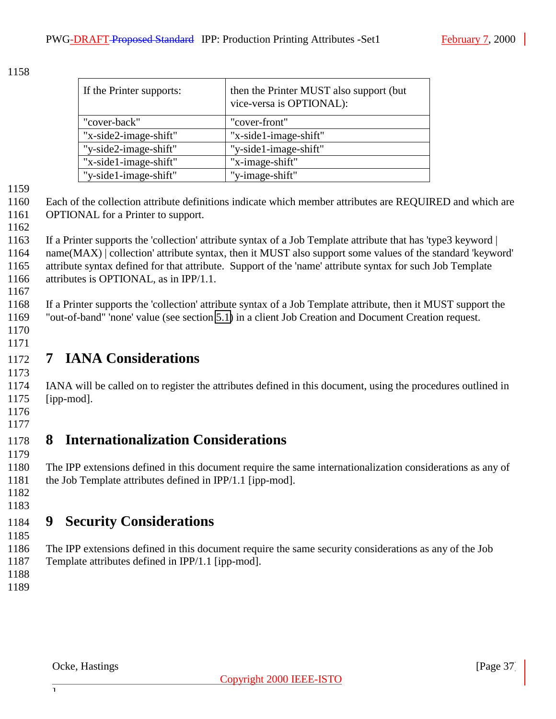<span id="page-36-0"></span>

| If the Printer supports: | then the Printer MUST also support (but<br>vice-versa is OPTIONAL): |
|--------------------------|---------------------------------------------------------------------|
| "cover-back"             | "cover-front"                                                       |
| "x-side2-image-shift"    | "x-side1-image-shift"                                               |
| "y-side2-image-shift"    | "y-side1-image-shift"                                               |
| "x-side1-image-shift"    | "x-image-shift"                                                     |
| "y-side1-image-shift"    | "y-image-shift"                                                     |

 Each of the collection attribute definitions indicate which member attributes are REQUIRED and which are 1161 OPTIONAL for a Printer to support.

 If a Printer supports the 'collection' attribute syntax of a Job Template attribute that has 'type3 keyword | name(MAX) | collection' attribute syntax, then it MUST also support some values of the standard 'keyword' attribute syntax defined for that attribute. Support of the 'name' attribute syntax for such Job Template attributes is OPTIONAL, as in IPP/1.1.

 If a Printer supports the 'collection' attribute syntax of a Job Template attribute, then it MUST support the "out-of-band" 'none' value (see section [5.1\)](#page-35-0) in a client Job Creation and Document Creation request.

 

# **7 IANA Considerations**

 IANA will be called on to register the attributes defined in this document, using the procedures outlined in [ipp-mod].

 

# **8 Internationalization Considerations**

 The IPP extensions defined in this document require the same internationalization considerations as any of the Job Template attributes defined in IPP/1.1 [ipp-mod].

 

# **9 Security Considerations**

 The IPP extensions defined in this document require the same security considerations as any of the Job Template attributes defined in IPP/1.1 [ipp-mod].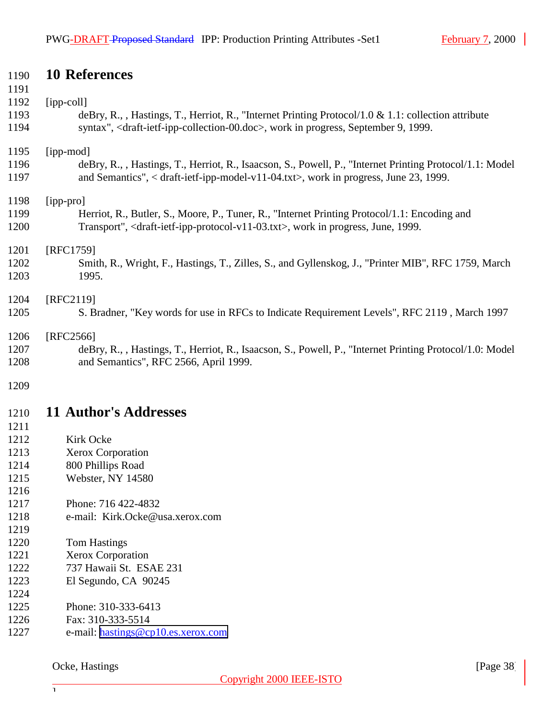## <span id="page-37-0"></span>**10 References**

| 1171 |                                                                                                                      |
|------|----------------------------------------------------------------------------------------------------------------------|
| 1192 | $[ipp-coll]$                                                                                                         |
| 1193 | deBry, R., , Hastings, T., Herriot, R., "Internet Printing Protocol/1.0 & 1.1: collection attribute                  |
| 1194 | syntax", <draft-ietf-ipp-collection-00.doc>, work in progress, September 9, 1999.</draft-ietf-ipp-collection-00.doc> |
| 1195 | [ipp-mod]                                                                                                            |
| 1196 | deBry, R., , Hastings, T., Herriot, R., Isaacson, S., Powell, P., "Internet Printing Protocol/1.1: Model             |
| 1197 | and Semantics", < draft-ietf-ipp-model-v11-04.txt>, work in progress, June 23, 1999.                                 |
| 1198 | [ipp-pro]                                                                                                            |
| 1199 | Herriot, R., Butler, S., Moore, P., Tuner, R., "Internet Printing Protocol/1.1: Encoding and                         |
| 1200 | Transport", <draft-ietf-ipp-protocol-v11-03.txt>, work in progress, June, 1999.</draft-ietf-ipp-protocol-v11-03.txt> |
| 1201 | [RFC1759]                                                                                                            |
| 1202 | Smith, R., Wright, F., Hastings, T., Zilles, S., and Gyllenskog, J., "Printer MIB", RFC 1759, March                  |
| 1203 | 1995.                                                                                                                |
| 1204 | [RFC2119]                                                                                                            |
| 1205 | S. Bradner, "Key words for use in RFCs to Indicate Requirement Levels", RFC 2119, March 1997                         |
| 1206 | [RFC2566]                                                                                                            |
| 1207 | deBry, R., , Hastings, T., Herriot, R., Isaacson, S., Powell, P., "Internet Printing Protocol/1.0: Model             |
| 1208 | and Semantics", RFC 2566, April 1999.                                                                                |
| 1209 |                                                                                                                      |
| 1210 | <b>11 Author's Addresses</b>                                                                                         |

- 
- Kirk Ocke
- Xerox Corporation
- 800 Phillips Road
- Webster, NY 14580
- Phone: 716 422-4832
- e-mail: Kirk.Ocke@usa.xerox.com
- Tom Hastings
- Xerox Corporation
- 737 Hawaii St. ESAE 231
- El Segundo, CA 90245
- Phone: 310-333-6413
- Fax: 310-333-5514
- 1227 e-mail: [hastings@cp10.es.xerox.com](mailto:hastings@cp10.es.xerox.com)

Ocke, Hastings [Page 38]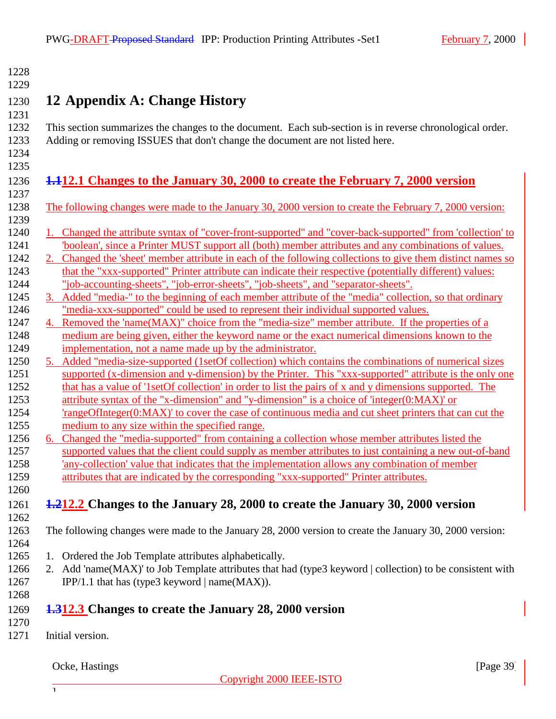<span id="page-38-0"></span>

| 1228         |                                                                                                                                                                                                       |
|--------------|-------------------------------------------------------------------------------------------------------------------------------------------------------------------------------------------------------|
| 1229<br>1230 | 12 Appendix A: Change History                                                                                                                                                                         |
| 1231         |                                                                                                                                                                                                       |
| 1232         | This section summarizes the changes to the document. Each sub-section is in reverse chronological order.                                                                                              |
| 1233         | Adding or removing ISSUES that don't change the document are not listed here.                                                                                                                         |
| 1234         |                                                                                                                                                                                                       |
| 1235<br>1236 | 1.12.1 Changes to the January 30, 2000 to create the February 7, 2000 version                                                                                                                         |
| 1237         |                                                                                                                                                                                                       |
| 1238         | The following changes were made to the January 30, 2000 version to create the February 7, 2000 version:                                                                                               |
| 1239         |                                                                                                                                                                                                       |
| 1240         | 1. Changed the attribute syntax of "cover-front-supported" and "cover-back-supported" from 'collection' to                                                                                            |
| 1241         | boolean', since a Printer MUST support all (both) member attributes and any combinations of values.                                                                                                   |
| 1242         | 2. Changed the 'sheet' member attribute in each of the following collections to give them distinct names so                                                                                           |
| 1243<br>1244 | that the "xxx-supported" Printer attribute can indicate their respective (potentially different) values:<br>"job-accounting-sheets", "job-error-sheets", "job-sheets", and "separator-sheets".        |
| 1245         | 3. Added "media-" to the beginning of each member attribute of the "media" collection, so that ordinary                                                                                               |
| 1246         | "media-xxx-supported" could be used to represent their individual supported values.                                                                                                                   |
| 1247         | 4. Removed the 'name(MAX)" choice from the "media-size" member attribute. If the properties of a                                                                                                      |
| 1248         | medium are being given, either the keyword name or the exact numerical dimensions known to the                                                                                                        |
| 1249         | implementation, not a name made up by the administrator.                                                                                                                                              |
| 1250         | 5. Added "media-size-supported (1setOf collection) which contains the combinations of numerical sizes                                                                                                 |
| 1251         | supported (x-dimension and y-dimension) by the Printer. This "xxx-supported" attribute is the only one                                                                                                |
| 1252<br>1253 | that has a value of '1setOf collection' in order to list the pairs of x and y dimensions supported. The<br>attribute syntax of the "x-dimension" and "y-dimension" is a choice of 'integer(0:MAX)' or |
| 1254         | 'rangeOfInteger(0:MAX)' to cover the case of continuous media and cut sheet printers that can cut the                                                                                                 |
| 1255         | medium to any size within the specified range.                                                                                                                                                        |
| 1256         | 6. Changed the "media-supported" from containing a collection whose member attributes listed the                                                                                                      |
| 1257         | supported values that the client could supply as member attributes to just containing a new out-of-band                                                                                               |
| 1258         | 'any-collection' value that indicates that the implementation allows any combination of member                                                                                                        |
| 1259         | attributes that are indicated by the corresponding "xxx-supported" Printer attributes.                                                                                                                |
| 1260         |                                                                                                                                                                                                       |
| 1261         | 1.212.2 Changes to the January 28, 2000 to create the January 30, 2000 version                                                                                                                        |
| 1262<br>1263 | The following changes were made to the January 28, 2000 version to create the January 30, 2000 version:                                                                                               |
| 1264         |                                                                                                                                                                                                       |
| 1265         | 1. Ordered the Job Template attributes alphabetically.                                                                                                                                                |
| 1266         | 2. Add 'name(MAX)' to Job Template attributes that had (type3 keyword   collection) to be consistent with                                                                                             |
| 1267         | IPP/1.1 that has (type3 keyword $ name(MAX) $ .                                                                                                                                                       |
| 1268         |                                                                                                                                                                                                       |
| 1269         | 1.312.3 Changes to create the January 28, 2000 version                                                                                                                                                |
| 1270         |                                                                                                                                                                                                       |
| 1271         | Initial version.                                                                                                                                                                                      |
|              |                                                                                                                                                                                                       |
|              | Ocke, Hastings<br>[Page $39$ ]                                                                                                                                                                        |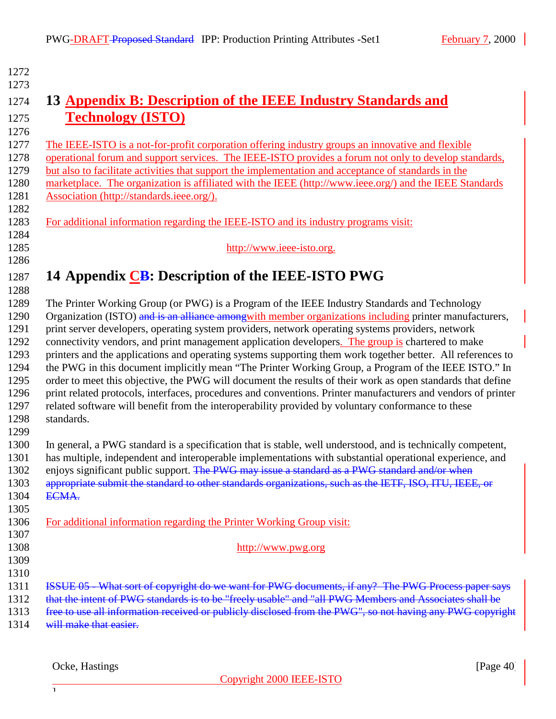| 1272 |                                                                                                               |
|------|---------------------------------------------------------------------------------------------------------------|
| 1273 |                                                                                                               |
| 1274 | 13 Appendix B: Description of the IEEE Industry Standards and                                                 |
|      |                                                                                                               |
| 1275 | <b>Technology (ISTO)</b>                                                                                      |
| 1276 |                                                                                                               |
| 1277 | The IEEE-ISTO is a not-for-profit corporation offering industry groups an innovative and flexible             |
| 1278 | operational forum and support services. The IEEE-ISTO provides a forum not only to develop standards,         |
| 1279 | but also to facilitate activities that support the implementation and acceptance of standards in the          |
| 1280 | marketplace. The organization is affiliated with the IEEE (http://www.ieee.org/) and the IEEE Standards       |
| 1281 | Association (http://standards.ieee.org/).                                                                     |
| 1282 |                                                                                                               |
| 1283 | For additional information regarding the IEEE-ISTO and its industry programs visit:                           |
| 1284 |                                                                                                               |
| 1285 | http://www.ieee-isto.org.                                                                                     |
| 1286 |                                                                                                               |
| 1287 | 14 Appendix CB: Description of the IEEE-ISTO PWG                                                              |
| 1288 |                                                                                                               |
| 1289 | The Printer Working Group (or PWG) is a Program of the IEEE Industry Standards and Technology                 |
| 1290 | Organization (ISTO) and is an alliance amongwith member organizations including printer manufacturers,        |
| 1291 | print server developers, operating system providers, network operating systems providers, network             |
| 1292 | connectivity vendors, and print management application developers. The group is chartered to make             |
| 1293 | printers and the applications and operating systems supporting them work together better. All references to   |
| 1294 | the PWG in this document implicitly mean "The Printer Working Group, a Program of the IEEE ISTO." In          |
| 1295 | order to meet this objective, the PWG will document the results of their work as open standards that define   |
| 1296 | print related protocols, interfaces, procedures and conventions. Printer manufacturers and vendors of printer |
| 1297 | related software will benefit from the interoperability provided by voluntary conformance to these            |
| 1298 | standards.                                                                                                    |
| 1299 |                                                                                                               |
| 1300 | In general, a PWG standard is a specification that is stable, well understood, and is technically competent,  |
| 1301 | has multiple, independent and interoperable implementations with substantial operational experience, and      |
| 1302 | enjoys significant public support. The PWG may issue a standard as a PWG standard and/or when                 |
| 1303 | appropriate submit the standard to other standards organizations, such as the IETF, ISO, ITU, IEEE, or        |
| 1304 | ECMA.                                                                                                         |
| 1305 |                                                                                                               |
| 1306 | For additional information regarding the Printer Working Group visit:                                         |
| 1307 |                                                                                                               |
| 1308 | http://www.pwg.org                                                                                            |
| 1309 |                                                                                                               |
| 1310 |                                                                                                               |
| 1311 | ISSUE 05 What sort of copyright do we want for PWG documents, if any? The PWG Process paper says              |
| 1312 | that the intent of PWG standards is to be "freely usable" and "all PWG Members and Associates shall be        |
| 1313 | free to use all information received or publicly disclosed from the PWG", so not having any PWG copyright     |
| 1314 | will make that easier.                                                                                        |

Ocke, Hastings [Page 40]